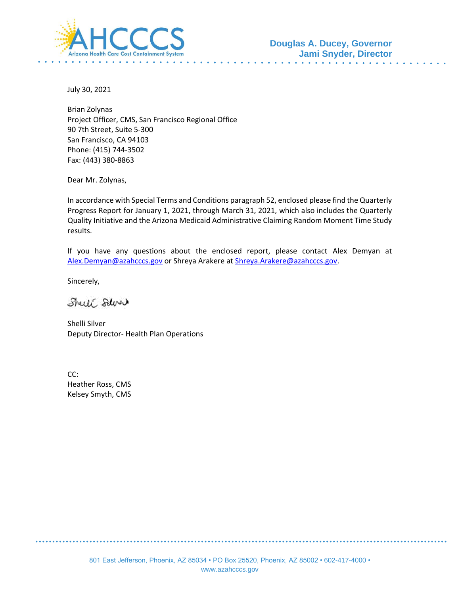

July 30, 2021

Brian Zolynas Project Officer, CMS, San Francisco Regional Office 90 7th Street, Suite 5-300 San Francisco, CA 94103 Phone: (415) 744-3502 Fax: (443) 380-8863

Dear Mr. Zolynas,

In accordance with Special Terms and Conditions paragraph 52, enclosed please find the Quarterly Progress Report for January 1, 2021, through March 31, 2021, which also includes the Quarterly Quality Initiative and the Arizona Medicaid Administrative Claiming Random Moment Time Study results.

If you have any questions about the enclosed report, please contact Alex Demyan at [Alex.Demyan@azahcccs.gov](mailto:Alex.Demyan@azahcccs.gov) or Shreya Arakere at [Shreya.Arakere@azahcccs.gov.](mailto:Shreya.Arakere@azahcccs.gov)

Sincerely,

Sheet Salver

Shelli Silver Deputy Director- Health Plan Operations

CC: Heather Ross, CMS Kelsey Smyth, CMS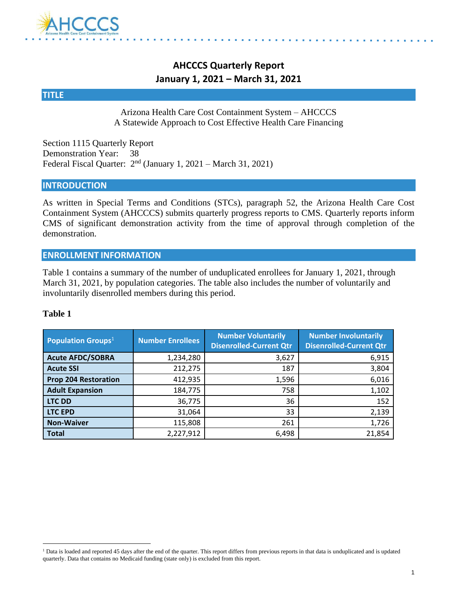

### **AHCCCS Quarterly Report January 1, 2021 – March 31, 2021**

#### **TITLE**

Arizona Health Care Cost Containment System – AHCCCS A Statewide Approach to Cost Effective Health Care Financing

Section 1115 Quarterly Report Demonstration Year: 38 Federal Fiscal Quarter: 2<sup>nd</sup> (January 1, 2021 – March 31, 2021)

#### **INTRODUCTION**

As written in Special Terms and Conditions (STCs), paragraph 52, the Arizona Health Care Cost Containment System (AHCCCS) submits quarterly progress reports to CMS. Quarterly reports inform CMS of significant demonstration activity from the time of approval through completion of the demonstration.

#### **ENROLLMENT INFORMATION**

Table 1 contains a summary of the number of unduplicated enrollees for January 1, 2021, through March 31, 2021, by population categories. The table also includes the number of voluntarily and involuntarily disenrolled members during this period.

#### **Table 1**

| <b>Population Groups</b> <sup>1</sup> | <b>Number Enrollees</b> | <b>Number Voluntarily</b><br><b>Disenrolled-Current Qtr</b> | <b>Number Involuntarily</b><br><b>Disenrolled-Current Qtr</b> |
|---------------------------------------|-------------------------|-------------------------------------------------------------|---------------------------------------------------------------|
| <b>Acute AFDC/SOBRA</b>               | 1,234,280               | 3,627                                                       | 6,915                                                         |
| <b>Acute SSI</b>                      | 212,275                 | 187                                                         | 3,804                                                         |
| <b>Prop 204 Restoration</b>           | 412,935                 | 1,596                                                       | 6,016                                                         |
| <b>Adult Expansion</b>                | 184,775                 | 758                                                         | 1,102                                                         |
| <b>LTC DD</b>                         | 36,775                  | 36                                                          | 152                                                           |
| <b>LTC EPD</b>                        | 31,064                  | 33                                                          | 2,139                                                         |
| <b>Non-Waiver</b>                     | 115,808                 | 261                                                         | 1,726                                                         |
| <b>Total</b>                          | 2,227,912               | 6,498                                                       | 21,854                                                        |

<sup>&</sup>lt;sup>1</sup> Data is loaded and reported 45 days after the end of the quarter. This report differs from previous reports in that data is unduplicated and is updated quarterly. Data that contains no Medicaid funding (state only) is excluded from this report.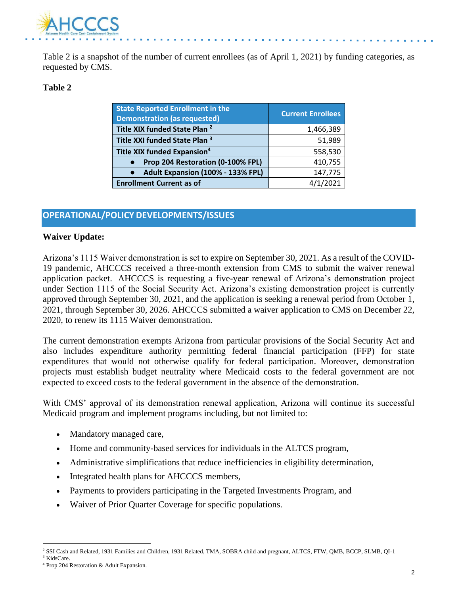

Table 2 is a snapshot of the number of current enrollees (as of April 1, 2021) by funding categories, as requested by CMS.

#### **Table 2**

| <b>State Reported Enrollment in the</b><br><b>Demonstration (as requested)</b> | <b>Current Enrollees</b> |
|--------------------------------------------------------------------------------|--------------------------|
| Title XIX funded State Plan <sup>2</sup>                                       | 1,466,389                |
| Title XXI funded State Plan <sup>3</sup>                                       | 51,989                   |
| Title XIX funded Expansion <sup>4</sup>                                        | 558,530                  |
| Prop 204 Restoration (0-100% FPL)                                              | 410,755                  |
| Adult Expansion (100% - 133% FPL)<br>$\bullet$                                 | 147,775                  |
| <b>Enrollment Current as of</b>                                                | /1/2021                  |

#### **OPERATIONAL/POLICY DEVELOPMENTS/ISSUES**

#### **Waiver Update:**

Arizona's 1115 Waiver demonstration is set to expire on September 30, 2021. As a result of the COVID-19 pandemic, AHCCCS received a three-month extension from CMS to submit the waiver renewal application packet. AHCCCS is requesting a five-year renewal of Arizona's demonstration project under Section 1115 of the Social Security Act. Arizona's existing demonstration project is currently approved through September 30, 2021, and the application is seeking a renewal period from October 1, 2021, through September 30, 2026. AHCCCS submitted a waiver application to CMS on December 22, 2020, to renew its 1115 Waiver demonstration.

The current demonstration exempts Arizona from particular provisions of the Social Security Act and also includes expenditure authority permitting federal financial participation (FFP) for state expenditures that would not otherwise qualify for federal participation. Moreover, demonstration projects must establish budget neutrality where Medicaid costs to the federal government are not expected to exceed costs to the federal government in the absence of the demonstration.

With CMS' approval of its demonstration renewal application, Arizona will continue its successful Medicaid program and implement programs including, but not limited to:

- Mandatory managed care,
- Home and community-based services for individuals in the ALTCS program,
- Administrative simplifications that reduce inefficiencies in eligibility determination,
- Integrated health plans for AHCCCS members,
- Payments to providers participating in the Targeted Investments Program, and
- Waiver of Prior Quarter Coverage for specific populations.

<sup>&</sup>lt;sup>2</sup> SSI Cash and Related, 1931 Families and Children, 1931 Related, TMA, SOBRA child and pregnant, ALTCS, FTW, QMB, BCCP, SLMB, QI-1 <sup>3</sup> KidsCare.

<sup>4</sup> Prop 204 Restoration & Adult Expansion.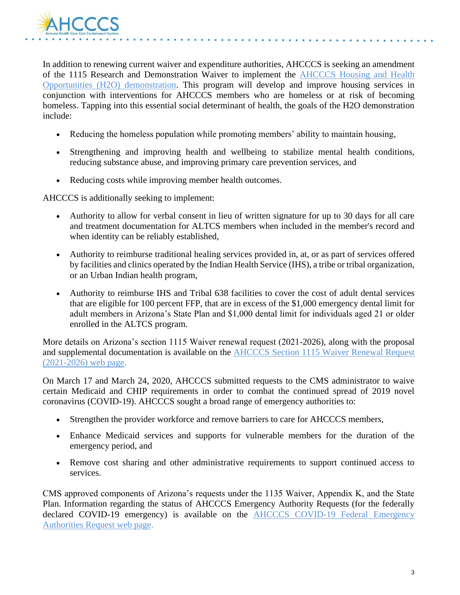

In addition to renewing current waiver and expenditure authorities, AHCCCS is seeking an amendment of the 1115 Research and Demonstration Waiver to implement the [AHCCCS Housing and Health](https://azahcccs.gov/Resources/Federal/HousingWaiverRequest.html)  [Opportunities \(H2O\) demonstration.](https://azahcccs.gov/Resources/Federal/HousingWaiverRequest.html) This program will develop and improve housing services in conjunction with interventions for AHCCCS members who are homeless or at risk of becoming homeless. Tapping into this essential social determinant of health, the goals of the H2O demonstration include:

- Reducing the homeless population while promoting members' ability to maintain housing,
- Strengthening and improving health and wellbeing to stabilize mental health conditions, reducing substance abuse, and improving primary care prevention services, and
- Reducing costs while improving member health outcomes.

AHCCCS is additionally seeking to implement:

- Authority to allow for verbal consent in lieu of written signature for up to 30 days for all care and treatment documentation for ALTCS members when included in the member's record and when identity can be reliably established,
- Authority to reimburse traditional healing services provided in, at, or as part of services offered by facilities and clinics operated by the Indian Health Service (IHS), a tribe or tribal organization, or an Urban Indian health program,
- Authority to reimburse IHS and Tribal 638 facilities to cover the cost of adult dental services that are eligible for 100 percent FFP, that are in excess of the \$1,000 emergency dental limit for adult members in Arizona's State Plan and \$1,000 dental limit for individuals aged 21 or older enrolled in the ALTCS program.

More details on Arizona's section 1115 Waiver renewal request (2021-2026), along with the proposal and supplemental documentation is available on the [AHCCCS Section 1115 Waiver Renewal Request](https://azahcccs.gov/Resources/Federal/waiverrenewalrequest.html)  [\(2021-2026\) web page.](https://azahcccs.gov/Resources/Federal/waiverrenewalrequest.html)

On March 17 and March 24, 2020, AHCCCS submitted requests to the CMS administrator to waive certain Medicaid and CHIP requirements in order to combat the continued spread of 2019 novel coronavirus (COVID-19). AHCCCS sought a broad range of emergency authorities to:

- Strengthen the provider workforce and remove barriers to care for AHCCCS members,
- Enhance Medicaid services and supports for vulnerable members for the duration of the emergency period, and
- Remove cost sharing and other administrative requirements to support continued access to services.

CMS approved components of Arizona's requests under the 1135 Waiver, Appendix K, and the State Plan. Information regarding the status of AHCCCS Emergency Authority Requests (for the federally declared COVID-19 emergency) is available on the **AHCCCS COVID-19 Federal Emergency** [Authorities Request web page.](https://azahcccs.gov/Resources/Federal/PendingWaivers/1135.html)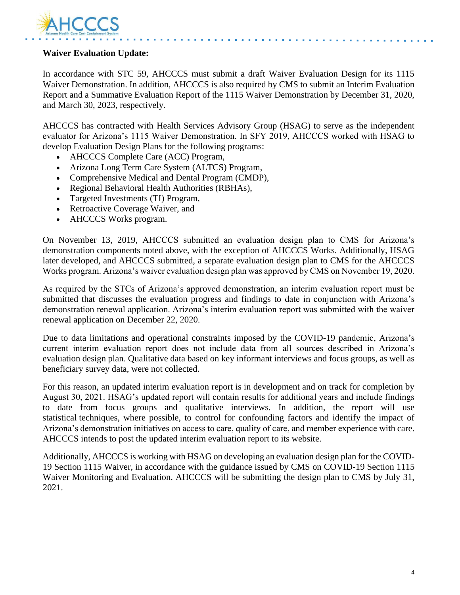

#### **Waiver Evaluation Update:**

In accordance with STC 59, AHCCCS must submit a draft Waiver Evaluation Design for its 1115 Waiver Demonstration. In addition, AHCCCS is also required by CMS to submit an Interim Evaluation Report and a Summative Evaluation Report of the 1115 Waiver Demonstration by December 31, 2020, and March 30, 2023, respectively.

AHCCCS has contracted with Health Services Advisory Group (HSAG) to serve as the independent evaluator for Arizona's 1115 Waiver Demonstration. In SFY 2019, AHCCCS worked with HSAG to develop Evaluation Design Plans for the following programs:

- AHCCCS Complete Care (ACC) Program,
- Arizona Long Term Care System (ALTCS) Program,
- Comprehensive Medical and Dental Program (CMDP),
- Regional Behavioral Health Authorities (RBHAs),
- Targeted Investments (TI) Program,
- Retroactive Coverage Waiver, and
- AHCCCS Works program.

On November 13, 2019, AHCCCS submitted an evaluation design plan to CMS for Arizona's demonstration components noted above, with the exception of AHCCCS Works. Additionally, HSAG later developed, and AHCCCS submitted, a separate evaluation design plan to CMS for the AHCCCS Works program. Arizona's waiver evaluation design plan was approved by CMS on November 19, 2020.

As required by the STCs of Arizona's approved demonstration, an interim evaluation report must be submitted that discusses the evaluation progress and findings to date in conjunction with Arizona's demonstration renewal application. Arizona's interim evaluation report was submitted with the waiver renewal application on December 22, 2020.

Due to data limitations and operational constraints imposed by the COVID-19 pandemic, Arizona's current interim evaluation report does not include data from all sources described in Arizona's evaluation design plan. Qualitative data based on key informant interviews and focus groups, as well as beneficiary survey data, were not collected.

For this reason, an updated interim evaluation report is in development and on track for completion by August 30, 2021. HSAG's updated report will contain results for additional years and include findings to date from focus groups and qualitative interviews. In addition, the report will use statistical techniques, where possible, to control for confounding factors and identify the impact of Arizona's demonstration initiatives on access to care, quality of care, and member experience with care. AHCCCS intends to post the updated interim evaluation report to its website.

Additionally, AHCCCS is working with HSAG on developing an evaluation design plan for the COVID-19 Section 1115 Waiver, in accordance with the guidance issued by CMS on COVID-19 Section 1115 Waiver Monitoring and Evaluation. AHCCCS will be submitting the design plan to CMS by July 31, 2021.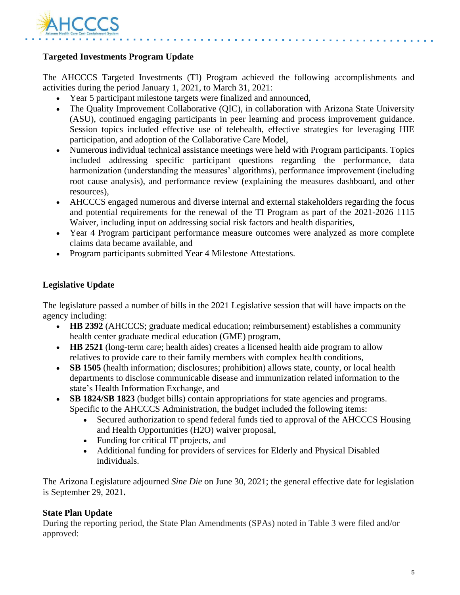

#### **Targeted Investments Program Update**

The AHCCCS Targeted Investments (TI) Program achieved the following accomplishments and activities during the period January 1, 2021, to March 31, 2021:

- Year 5 participant milestone targets were finalized and announced,
- The Quality Improvement Collaborative (OIC), in collaboration with Arizona State University (ASU), continued engaging participants in peer learning and process improvement guidance. Session topics included effective use of telehealth, effective strategies for leveraging HIE participation, and adoption of the Collaborative Care Model,
- Numerous individual technical assistance meetings were held with Program participants. Topics included addressing specific participant questions regarding the performance, data harmonization (understanding the measures' algorithms), performance improvement (including root cause analysis), and performance review (explaining the measures dashboard, and other resources),
- AHCCCS engaged numerous and diverse internal and external stakeholders regarding the focus and potential requirements for the renewal of the TI Program as part of the 2021-2026 1115 Waiver, including input on addressing social risk factors and health disparities,
- Year 4 Program participant performance measure outcomes were analyzed as more complete claims data became available, and
- Program participants submitted Year 4 Milestone Attestations.

#### **Legislative Update**

The legislature passed a number of bills in the 2021 Legislative session that will have impacts on the agency including:

- **HB 2392** (AHCCCS; graduate medical education; reimbursement) establishes a community health center graduate medical education (GME) program,
- **HB 2521** (long-term care; health aides) creates a licensed health aide program to allow relatives to provide care to their family members with complex health conditions,
- **SB 1505** (health information; disclosures; prohibition) allows state, county, or local health departments to disclose communicable disease and immunization related information to the state's Health Information Exchange, and
- **SB 1824/SB 1823** (budget bills) contain appropriations for state agencies and programs. Specific to the AHCCCS Administration, the budget included the following items:
	- Secured authorization to spend federal funds tied to approval of the AHCCCS Housing and Health Opportunities (H2O) waiver proposal,
	- Funding for critical IT projects, and
	- Additional funding for providers of services for Elderly and Physical Disabled individuals.

The Arizona Legislature adjourned *Sine Die* on June 30, 2021; the general effective date for legislation is September 29, 2021**.**

#### **State Plan Update**

During the reporting period, the State Plan Amendments (SPAs) noted in Table 3 were filed and/or approved: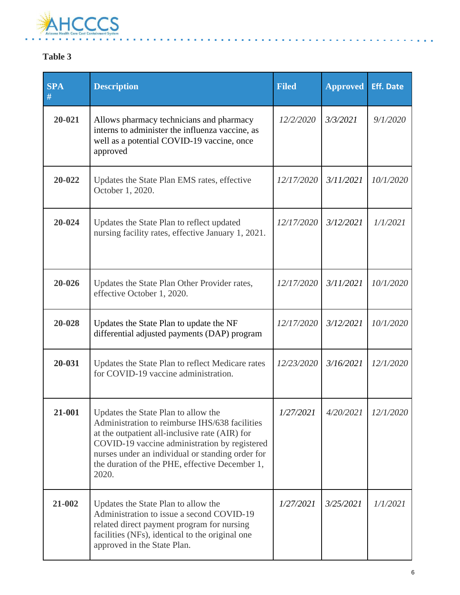

### **Table 3**

| <b>SPA</b><br># | <b>Description</b>                                                                                                                                                                                                                                                                                      | <b>Filed</b> | <b>Approved</b> | <b>Eff. Date</b> |
|-----------------|---------------------------------------------------------------------------------------------------------------------------------------------------------------------------------------------------------------------------------------------------------------------------------------------------------|--------------|-----------------|------------------|
| $20 - 021$      | Allows pharmacy technicians and pharmacy<br>interns to administer the influenza vaccine, as<br>well as a potential COVID-19 vaccine, once<br>approved                                                                                                                                                   | 12/2/2020    | 3/3/2021        | 9/1/2020         |
| 20-022          | Updates the State Plan EMS rates, effective<br>October 1, 2020.                                                                                                                                                                                                                                         | 12/17/2020   | 3/11/2021       | 10/1/2020        |
| 20-024          | Updates the State Plan to reflect updated<br>nursing facility rates, effective January 1, 2021.                                                                                                                                                                                                         |              | 3/12/2021       | 1/1/2021         |
| 20-026          | Updates the State Plan Other Provider rates,<br>effective October 1, 2020.                                                                                                                                                                                                                              | 12/17/2020   | 3/11/2021       | 10/1/2020        |
| 20-028          | Updates the State Plan to update the NF<br>differential adjusted payments (DAP) program                                                                                                                                                                                                                 | 12/17/2020   | 3/12/2021       | 10/1/2020        |
| 20-031          | Updates the State Plan to reflect Medicare rates<br>for COVID-19 vaccine administration.                                                                                                                                                                                                                | 12/23/2020   | 3/16/2021       | 12/1/2020        |
| 21-001          | Updates the State Plan to allow the<br>Administration to reimburse IHS/638 facilities<br>at the outpatient all-inclusive rate (AIR) for<br>COVID-19 vaccine administration by registered<br>nurses under an individual or standing order for<br>the duration of the PHE, effective December 1,<br>2020. | 1/27/2021    | 4/20/2021       | 12/1/2020        |
| 21-002          | Updates the State Plan to allow the<br>Administration to issue a second COVID-19<br>related direct payment program for nursing<br>facilities (NFs), identical to the original one<br>approved in the State Plan.                                                                                        | 1/27/2021    | 3/25/2021       | 1/1/2021         |

L. ÷.  $\sim 100$  km s  $^{-1}$ ÷.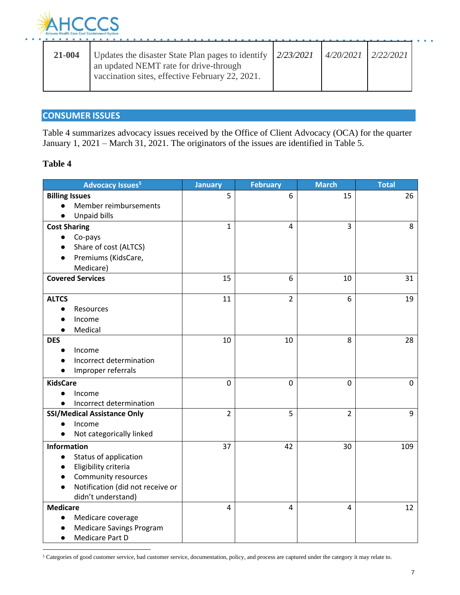

| 21-004 | Updates the disaster State Plan pages to identify $ 2/23/2021$<br>an updated NEMT rate for drive-through<br>vaccination sites, effective February 22, 2021. | $4/20/2021$ $2/22/2021$ |  |
|--------|-------------------------------------------------------------------------------------------------------------------------------------------------------------|-------------------------|--|
|        |                                                                                                                                                             |                         |  |

#### **CONSUMER ISSUES**

Table 4 summarizes advocacy issues received by the Office of Client Advocacy (OCA) for the quarter January 1, 2021 – March 31, 2021. The originators of the issues are identified in Table 5.

#### **Table 4**

| <b>Advocacy Issues<sup>5</sup></b>    | <b>January</b> | <b>February</b> | <b>March</b>   | <b>Total</b> |
|---------------------------------------|----------------|-----------------|----------------|--------------|
| <b>Billing Issues</b>                 | 5              | 6               | 15             | 26           |
| Member reimbursements<br>$\bullet$    |                |                 |                |              |
| <b>Unpaid bills</b><br>$\bullet$      | $\mathbf{1}$   | 4               | 3              | 8            |
| <b>Cost Sharing</b>                   |                |                 |                |              |
| Co-pays<br>Share of cost (ALTCS)      |                |                 |                |              |
| Premiums (KidsCare,                   |                |                 |                |              |
| Medicare)                             |                |                 |                |              |
| <b>Covered Services</b>               | 15             | 6               | 10             | 31           |
|                                       |                |                 |                |              |
| <b>ALTCS</b>                          | 11             | $\overline{2}$  | 6              | 19           |
| Resources<br>$\bullet$                |                |                 |                |              |
| Income                                |                |                 |                |              |
| Medical                               |                |                 |                |              |
| <b>DES</b>                            | 10             | 10              | 8              | 28           |
| Income                                |                |                 |                |              |
| Incorrect determination               |                |                 |                |              |
| Improper referrals                    |                |                 |                |              |
| <b>KidsCare</b>                       | 0              | 0               | $\mathbf 0$    | $\mathbf 0$  |
| Income                                |                |                 |                |              |
| Incorrect determination               |                |                 |                |              |
| <b>SSI/Medical Assistance Only</b>    | $\overline{2}$ | 5               | $\overline{2}$ | 9            |
| Income                                |                |                 |                |              |
| Not categorically linked<br>$\bullet$ |                |                 |                |              |
| <b>Information</b>                    | 37             | 42              | 30             | 109          |
| Status of application                 |                |                 |                |              |
| Eligibility criteria                  |                |                 |                |              |
| Community resources                   |                |                 |                |              |
| Notification (did not receive or      |                |                 |                |              |
| didn't understand)                    |                |                 |                |              |
| <b>Medicare</b>                       | 4              | 4               | 4              | 12           |
| Medicare coverage<br>$\bullet$        |                |                 |                |              |
| <b>Medicare Savings Program</b>       |                |                 |                |              |
| Medicare Part D                       |                |                 |                |              |

<sup>5</sup> Categories of good customer service, bad customer service, documentation, policy, and process are captured under the category it may relate to.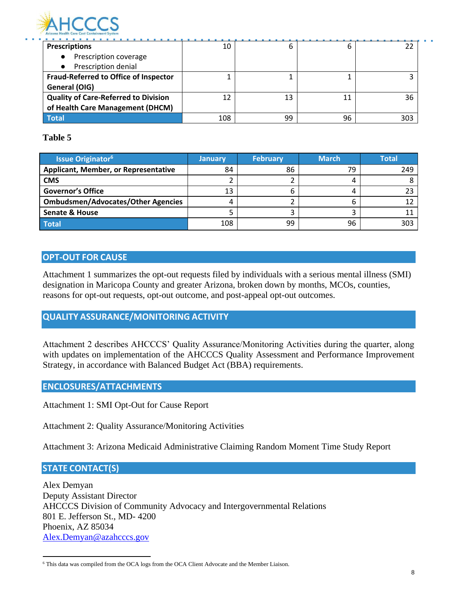

**Prescriptions** ● Prescription coverage ● Prescription denial 10 6 6 22 **Fraud-Referred to Office of Inspector General (OIG)** 1 1 1 3 **Quality of Care-Referred to Division of Health Care Management (DHCM)**  $12$  13  $11$  36 **Total** 108 99 96 303

#### **Table 5**

| <b>Issue Originator<sup>6</sup></b>       | <b>January</b> | <b>February</b> | <b>March</b> | <b>Total</b> |
|-------------------------------------------|----------------|-----------------|--------------|--------------|
| Applicant, Member, or Representative      | 84             | 86              | 79           | 249          |
| <b>CMS</b>                                |                |                 |              |              |
| <b>Governor's Office</b>                  | 13             | b               | 4            |              |
| <b>Ombudsmen/Advocates/Other Agencies</b> |                |                 | ь            |              |
| <b>Senate &amp; House</b>                 |                |                 |              |              |
| <b>Total</b>                              | 108            | 99              | 96           | 303          |

#### **OPT-OUT FOR CAUSE**

Attachment 1 summarizes the opt-out requests filed by individuals with a serious mental illness (SMI) designation in Maricopa County and greater Arizona, broken down by months, MCOs, counties, reasons for opt-out requests, opt-out outcome, and post-appeal opt-out outcomes.

#### **QUALITY ASSURANCE/MONITORING ACTIVITY**

Attachment 2 describes AHCCCS' Quality Assurance/Monitoring Activities during the quarter, along with updates on implementation of the AHCCCS Quality Assessment and Performance Improvement Strategy, in accordance with Balanced Budget Act (BBA) requirements.

#### **ENCLOSURES/ATTACHMENTS**

Attachment 1: SMI Opt-Out for Cause Report

Attachment 2: Quality Assurance/Monitoring Activities

Attachment 3: Arizona Medicaid Administrative Claiming Random Moment Time Study Report

#### **STATE CONTACT(S)**

Alex Demyan Deputy Assistant Director AHCCCS Division of Community Advocacy and Intergovernmental Relations 801 E. Jefferson St., MD- 4200 Phoenix, AZ 85034 [Alex.Demyan@azahcccs.gov](mailto:Alex.Demyan@azahcccs.gov)

<sup>6</sup> This data was compiled from the OCA logs from the OCA Client Advocate and the Member Liaison.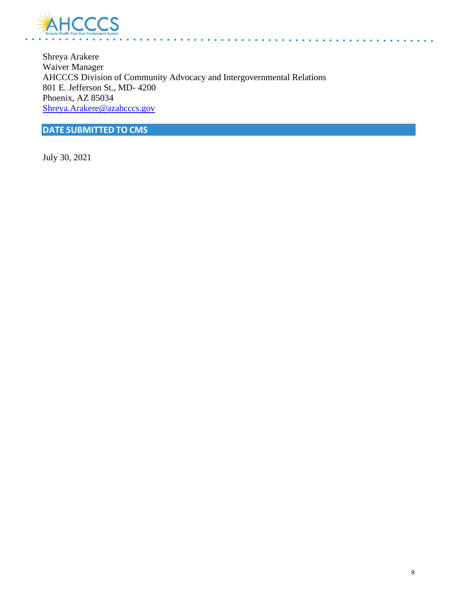

Shreya Arakere Waiver Manager AHCCCS Division of Community Advocacy and Intergovernmental Relations 801 E. Jefferson St., MD- 4200 Phoenix, AZ 85034 [Shreya.Arakere@azahcccs.gov](mailto:Shreya.Arakere@azahcccs.gov)

**DATE SUBMITTED TO CMS**

July 30, 2021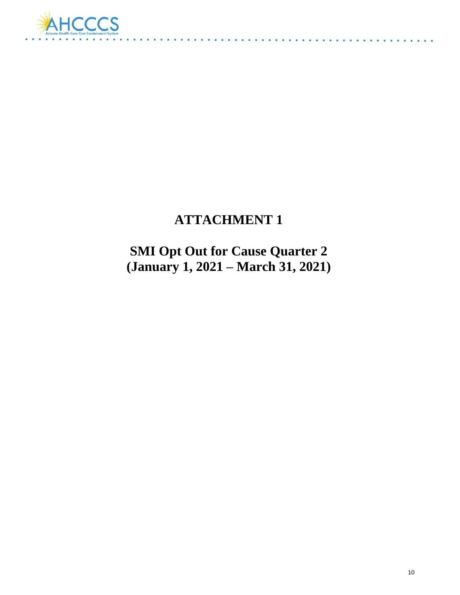

# **ATTACHMENT 1**

 $\sim 100$  km s  $^{-1}$ 

**SMI Opt Out for Cause Quarter 2 (January 1, 2021 – March 31, 2021)**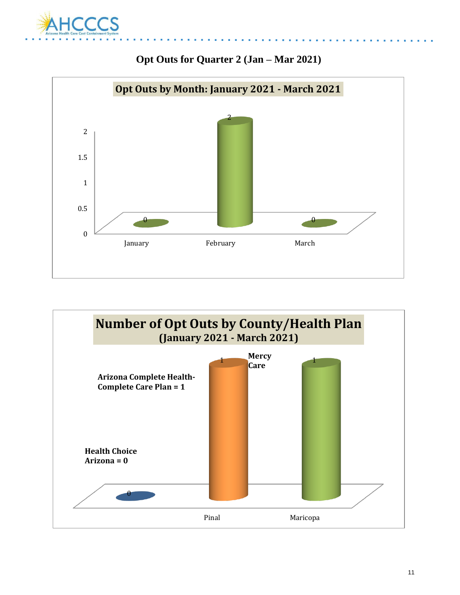



### **Opt Outs for Quarter 2 (Jan – Mar 2021)**

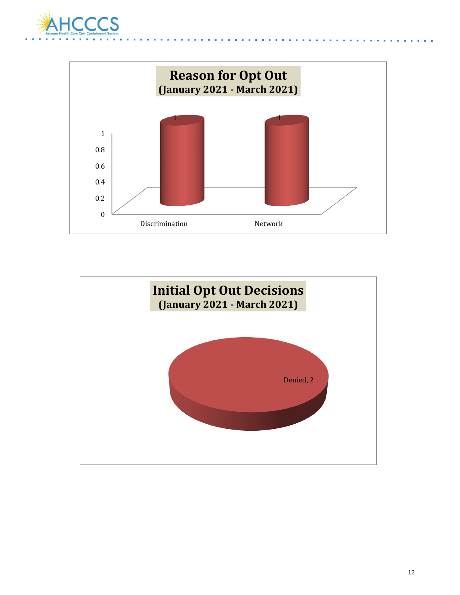



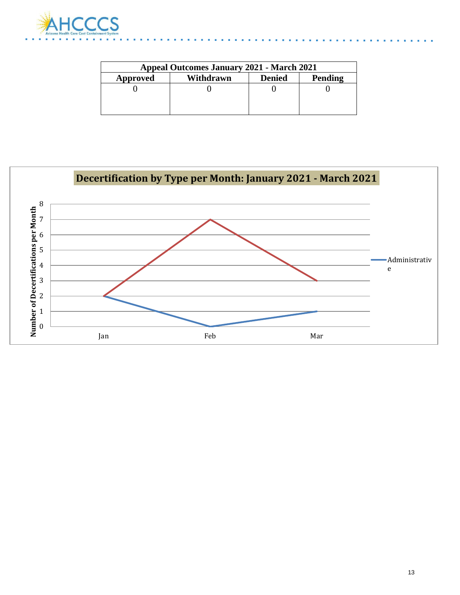

| <b>Appeal Outcomes January 2021 - March 2021</b>  |  |  |  |  |  |  |  |
|---------------------------------------------------|--|--|--|--|--|--|--|
| Pending<br><b>Denied</b><br>Withdrawn<br>Approved |  |  |  |  |  |  |  |
|                                                   |  |  |  |  |  |  |  |
|                                                   |  |  |  |  |  |  |  |
|                                                   |  |  |  |  |  |  |  |

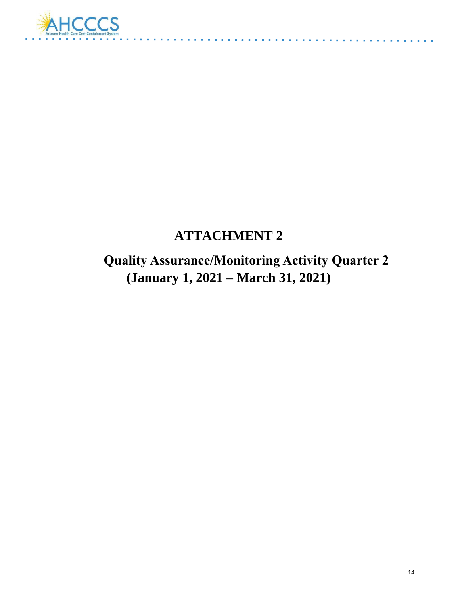

## **ATTACHMENT 2**

 **Quality Assurance/Monitoring Activity Quarter 2 (January 1, 2021 – March 31, 2021)**

and a straight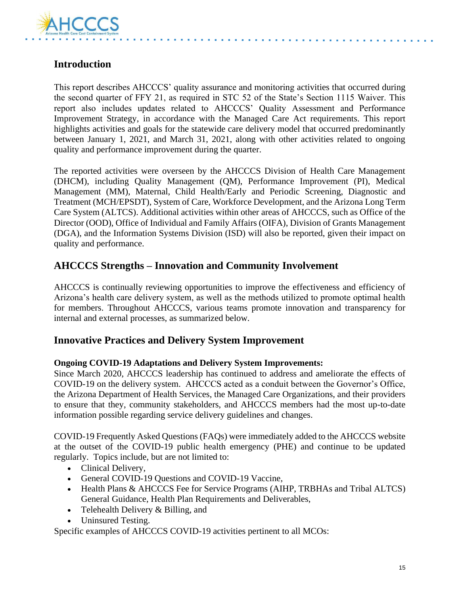

### **Introduction**

This report describes AHCCCS' quality assurance and monitoring activities that occurred during the second quarter of FFY 21, as required in STC 52 of the State's Section 1115 Waiver. This report also includes updates related to AHCCCS' Quality Assessment and Performance Improvement Strategy, in accordance with the Managed Care Act requirements. This report highlights activities and goals for the statewide care delivery model that occurred predominantly between January 1, 2021, and March 31, 2021, along with other activities related to ongoing quality and performance improvement during the quarter.

The reported activities were overseen by the AHCCCS Division of Health Care Management (DHCM), including Quality Management (QM), Performance Improvement (PI), Medical Management (MM), Maternal, Child Health/Early and Periodic Screening, Diagnostic and Treatment (MCH/EPSDT), System of Care, Workforce Development, and the Arizona Long Term Care System (ALTCS). Additional activities within other areas of AHCCCS, such as Office of the Director (OOD), Office of Individual and Family Affairs (OIFA), Division of Grants Management (DGA), and the Information Systems Division (ISD) will also be reported, given their impact on quality and performance.

### **AHCCCS Strengths – Innovation and Community Involvement**

AHCCCS is continually reviewing opportunities to improve the effectiveness and efficiency of Arizona's health care delivery system, as well as the methods utilized to promote optimal health for members. Throughout AHCCCS, various teams promote innovation and transparency for internal and external processes, as summarized below.

### **Innovative Practices and Delivery System Improvement**

#### **Ongoing COVID-19 Adaptations and Delivery System Improvements:**

Since March 2020, AHCCCS leadership has continued to address and ameliorate the effects of COVID-19 on the delivery system. AHCCCS acted as a conduit between the Governor's Office, the Arizona Department of Health Services, the Managed Care Organizations, and their providers to ensure that they, community stakeholders, and AHCCCS members had the most up-to-date information possible regarding service delivery guidelines and changes.

COVID-19 Frequently Asked Questions (FAQs) were immediately added to the AHCCCS website at the outset of the COVID-19 public health emergency (PHE) and continue to be updated regularly. Topics include, but are not limited to:

- Clinical Delivery,
- General COVID-19 Questions and COVID-19 Vaccine,
- Health Plans & AHCCCS Fee for Service Programs (AIHP, TRBHAs and Tribal ALTCS) General Guidance, Health Plan Requirements and Deliverables,
- Telehealth Delivery & Billing, and
- Uninsured Testing.

Specific examples of AHCCCS COVID-19 activities pertinent to all MCOs: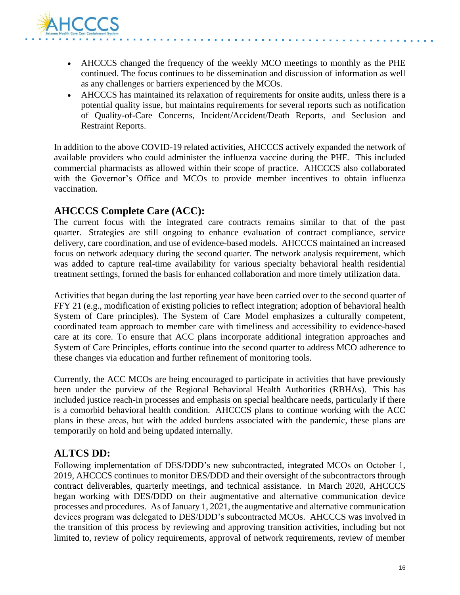

- AHCCCS changed the frequency of the weekly MCO meetings to monthly as the PHE continued. The focus continues to be dissemination and discussion of information as well as any challenges or barriers experienced by the MCOs.
- AHCCCS has maintained its relaxation of requirements for onsite audits, unless there is a potential quality issue, but maintains requirements for several reports such as notification of Quality-of-Care Concerns, Incident/Accident/Death Reports, and Seclusion and Restraint Reports.

In addition to the above COVID-19 related activities, AHCCCS actively expanded the network of available providers who could administer the influenza vaccine during the PHE. This included commercial pharmacists as allowed within their scope of practice. AHCCCS also collaborated with the Governor's Office and MCOs to provide member incentives to obtain influenza vaccination.

### **AHCCCS Complete Care (ACC):**

The current focus with the integrated care contracts remains similar to that of the past quarter. Strategies are still ongoing to enhance evaluation of contract compliance, service delivery, care coordination, and use of evidence-based models. AHCCCS maintained an increased focus on network adequacy during the second quarter. The network analysis requirement, which was added to capture real-time availability for various specialty behavioral health residential treatment settings, formed the basis for enhanced collaboration and more timely utilization data.

Activities that began during the last reporting year have been carried over to the second quarter of FFY 21 (e.g., modification of existing policies to reflect integration; adoption of behavioral health System of Care principles). The System of Care Model emphasizes a culturally competent, coordinated team approach to member care with timeliness and accessibility to evidence-based care at its core. To ensure that ACC plans incorporate additional integration approaches and System of Care Principles, efforts continue into the second quarter to address MCO adherence to these changes via education and further refinement of monitoring tools.

Currently, the ACC MCOs are being encouraged to participate in activities that have previously been under the purview of the Regional Behavioral Health Authorities (RBHAs). This has included justice reach-in processes and emphasis on special healthcare needs, particularly if there is a comorbid behavioral health condition. AHCCCS plans to continue working with the ACC plans in these areas, but with the added burdens associated with the pandemic, these plans are temporarily on hold and being updated internally.

#### **ALTCS DD:**

Following implementation of DES/DDD's new subcontracted, integrated MCOs on October 1, 2019, AHCCCS continues to monitor DES/DDD and their oversight of the subcontractors through contract deliverables, quarterly meetings, and technical assistance. In March 2020, AHCCCS began working with DES/DDD on their augmentative and alternative communication device processes and procedures. As of January 1, 2021, the augmentative and alternative communication devices program was delegated to DES/DDD's subcontracted MCOs. AHCCCS was involved in the transition of this process by reviewing and approving transition activities, including but not limited to, review of policy requirements, approval of network requirements, review of member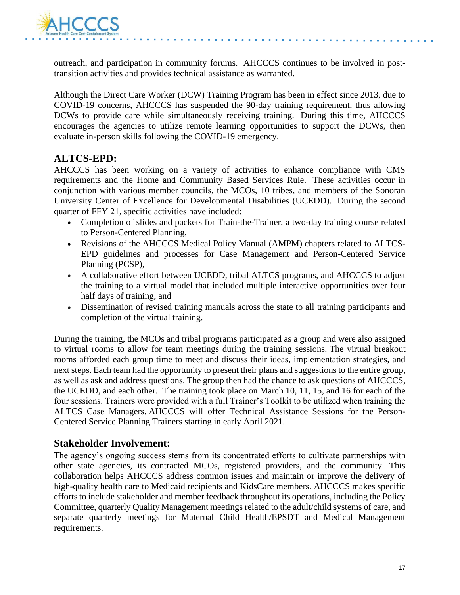

outreach, and participation in community forums. AHCCCS continues to be involved in posttransition activities and provides technical assistance as warranted.

Although the Direct Care Worker (DCW) Training Program has been in effect since 2013, due to COVID-19 concerns, AHCCCS has suspended the 90-day training requirement, thus allowing DCWs to provide care while simultaneously receiving training. During this time, AHCCCS encourages the agencies to utilize remote learning opportunities to support the DCWs, then evaluate in-person skills following the COVID-19 emergency.

#### **ALTCS-EPD:**

AHCCCS has been working on a variety of activities to enhance compliance with CMS requirements and the Home and Community Based Services Rule. These activities occur in conjunction with various member councils, the MCOs, 10 tribes, and members of the Sonoran University Center of Excellence for Developmental Disabilities (UCEDD). During the second quarter of FFY 21, specific activities have included:

- Completion of slides and packets for Train-the-Trainer, a two-day training course related to Person-Centered Planning,
- Revisions of the AHCCCS Medical Policy Manual (AMPM) chapters related to ALTCS-EPD guidelines and processes for Case Management and Person-Centered Service Planning (PCSP),
- A collaborative effort between UCEDD, tribal ALTCS programs, and AHCCCS to adjust the training to a virtual model that included multiple interactive opportunities over four half days of training, and
- Dissemination of revised training manuals across the state to all training participants and completion of the virtual training.

During the training, the MCOs and tribal programs participated as a group and were also assigned to virtual rooms to allow for team meetings during the training sessions. The virtual breakout rooms afforded each group time to meet and discuss their ideas, implementation strategies, and next steps. Each team had the opportunity to present their plans and suggestions to the entire group, as well as ask and address questions. The group then had the chance to ask questions of AHCCCS, the UCEDD, and each other. The training took place on March 10, 11, 15, and 16 for each of the four sessions. Trainers were provided with a full Trainer's Toolkit to be utilized when training the ALTCS Case Managers. AHCCCS will offer Technical Assistance Sessions for the Person-Centered Service Planning Trainers starting in early April 2021.

#### **Stakeholder Involvement:**

The agency's ongoing success stems from its concentrated efforts to cultivate partnerships with other state agencies, its contracted MCOs, registered providers, and the community. This collaboration helps AHCCCS address common issues and maintain or improve the delivery of high-quality health care to Medicaid recipients and KidsCare members. AHCCCS makes specific efforts to include stakeholder and member feedback throughout its operations, including the Policy Committee, quarterly Quality Management meetings related to the adult/child systems of care, and separate quarterly meetings for Maternal Child Health/EPSDT and Medical Management requirements.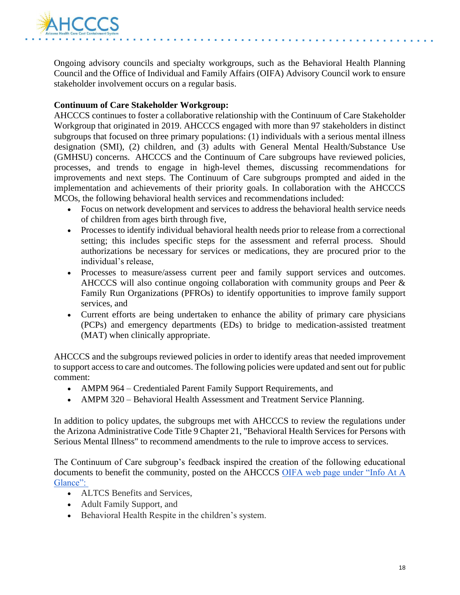

Ongoing advisory councils and specialty workgroups, such as the Behavioral Health Planning Council and the Office of Individual and Family Affairs (OIFA) Advisory Council work to ensure stakeholder involvement occurs on a regular basis.

#### **Continuum of Care Stakeholder Workgroup:**

AHCCCS continues to foster a collaborative relationship with the Continuum of Care Stakeholder Workgroup that originated in 2019. AHCCCS engaged with more than 97 stakeholders in distinct subgroups that focused on three primary populations: (1) individuals with a serious mental illness designation (SMI), (2) children, and (3) adults with General Mental Health/Substance Use (GMHSU) concerns. AHCCCS and the Continuum of Care subgroups have reviewed policies, processes, and trends to engage in high-level themes, discussing recommendations for improvements and next steps. The Continuum of Care subgroups prompted and aided in the implementation and achievements of their priority goals. In collaboration with the AHCCCS MCOs, the following behavioral health services and recommendations included:

- Focus on network development and services to address the behavioral health service needs of children from ages birth through five,
- Processes to identify individual behavioral health needs prior to release from a correctional setting; this includes specific steps for the assessment and referral process. Should authorizations be necessary for services or medications, they are procured prior to the individual's release,
- Processes to measure/assess current peer and family support services and outcomes. AHCCCS will also continue ongoing collaboration with community groups and Peer & Family Run Organizations (PFROs) to identify opportunities to improve family support services, and
- Current efforts are being undertaken to enhance the ability of primary care physicians (PCPs) and emergency departments (EDs) to bridge to medication-assisted treatment (MAT) when clinically appropriate.

AHCCCS and the subgroups reviewed policies in order to identify areas that needed improvement to support access to care and outcomes. The following policies were updated and sent out for public comment:

- AMPM 964 Credentialed Parent Family Support Requirements, and
- AMPM 320 Behavioral Health Assessment and Treatment Service Planning.

In addition to policy updates, the subgroups met with AHCCCS to review the regulations under the Arizona Administrative Code Title 9 Chapter 21, "Behavioral Health Services for Persons with Serious Mental Illness" to recommend amendments to the rule to improve access to services.

The Continuum of Care subgroup's feedback inspired the creation of the following educational documents to benefit the community, posted on the AHCCCS OIFA web page under "Info At A Glance":

- ALTCS Benefits and Services,
- Adult Family Support, and
- Behavioral Health Respite in the children's system.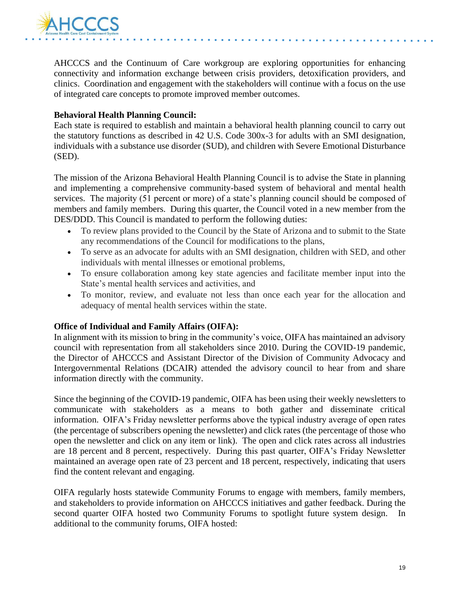

AHCCCS and the Continuum of Care workgroup are exploring opportunities for enhancing connectivity and information exchange between crisis providers, detoxification providers, and clinics. Coordination and engagement with the stakeholders will continue with a focus on the use of integrated care concepts to promote improved member outcomes.

#### **Behavioral Health Planning Council:**

Each state is required to establish and maintain a behavioral health planning council to carry out the statutory functions as described in 42 U.S. Code 300x-3 for adults with an SMI designation, individuals with a substance use disorder (SUD), and children with Severe Emotional Disturbance (SED).

The mission of the Arizona Behavioral Health Planning Council is to advise the State in planning and implementing a comprehensive community-based system of behavioral and mental health services. The majority (51 percent or more) of a state's planning council should be composed of members and family members. During this quarter, the Council voted in a new member from the DES/DDD. This Council is mandated to perform the following duties:

- To review plans provided to the Council by the State of Arizona and to submit to the State any recommendations of the Council for modifications to the plans,
- To serve as an advocate for adults with an SMI designation, children with SED, and other individuals with mental illnesses or emotional problems,
- To ensure collaboration among key state agencies and facilitate member input into the State's mental health services and activities, and
- To monitor, review, and evaluate not less than once each year for the allocation and adequacy of mental health services within the state.

#### **Office of Individual and Family Affairs (OIFA):**

In alignment with its mission to bring in the community's voice, OIFA has maintained an advisory council with representation from all stakeholders since 2010. During the COVID-19 pandemic, the Director of AHCCCS and Assistant Director of the Division of Community Advocacy and Intergovernmental Relations (DCAIR) attended the advisory council to hear from and share information directly with the community.

Since the beginning of the COVID-19 pandemic, OIFA has been using their weekly newsletters to communicate with stakeholders as a means to both gather and disseminate critical information. OIFA's Friday newsletter performs above the typical industry average of open rates (the percentage of subscribers opening the newsletter) and click rates (the percentage of those who open the newsletter and click on any item or link). The open and click rates across all industries are 18 percent and 8 percent, respectively. During this past quarter, OIFA's Friday Newsletter maintained an average open rate of 23 percent and 18 percent, respectively, indicating that users find the content relevant and engaging.

OIFA regularly hosts statewide Community Forums to engage with members, family members, and stakeholders to provide information on AHCCCS initiatives and gather feedback. During the second quarter OIFA hosted two Community Forums to spotlight future system design. In additional to the community forums, OIFA hosted: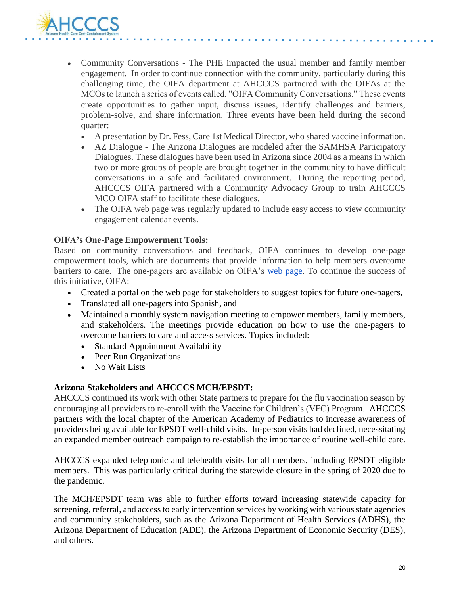

- Community Conversations The PHE impacted the usual member and family member engagement. In order to continue connection with the community, particularly during this challenging time, the OIFA department at AHCCCS partnered with the OIFAs at the MCOs to launch a series of events called, "OIFA Community Conversations." These events create opportunities to gather input, discuss issues, identify challenges and barriers, problem-solve, and share information. Three events have been held during the second quarter:
	- A presentation by Dr. Fess, Care 1st Medical Director, who shared vaccine information.
	- AZ Dialogue The Arizona Dialogues are modeled after the SAMHSA Participatory Dialogues. These dialogues have been used in Arizona since 2004 as a means in which two or more groups of people are brought together in the community to have difficult conversations in a safe and facilitated environment. During the reporting period, AHCCCS OIFA partnered with a Community Advocacy Group to train AHCCCS MCO OIFA staff to facilitate these dialogues.
	- The OIFA web page was regularly updated to include easy access to view community engagement calendar events.

#### **OIFA's One-Page Empowerment Tools:**

Based on community conversations and feedback, OIFA continues to develop one-page empowerment tools, which are documents that provide information to help members overcome barriers to care. The one-pagers are available on OIFA's [web page.](http://azahcccs.gov/OIFA) To continue the success of this initiative, OIFA:

- Created a portal on the web page for stakeholders to suggest topics for future one-pagers,
- Translated all one-pagers into Spanish, and
- Maintained a monthly system navigation meeting to empower members, family members, and stakeholders. The meetings provide education on how to use the one-pagers to overcome barriers to care and access services. Topics included:
	- Standard Appointment Availability
	- Peer Run Organizations
	- No Wait Lists

#### **Arizona Stakeholders and AHCCCS MCH/EPSDT:**

AHCCCS continued its work with other State partners to prepare for the flu vaccination season by encouraging all providers to re-enroll with the Vaccine for Children's (VFC) Program. AHCCCS partners with the local chapter of the American Academy of Pediatrics to increase awareness of providers being available for EPSDT well-child visits. In-person visits had declined, necessitating an expanded member outreach campaign to re-establish the importance of routine well-child care.

AHCCCS expanded telephonic and telehealth visits for all members, including EPSDT eligible members. This was particularly critical during the statewide closure in the spring of 2020 due to the pandemic.

The MCH/EPSDT team was able to further efforts toward increasing statewide capacity for screening, referral, and access to early intervention services by working with various state agencies and community stakeholders, such as the Arizona Department of Health Services (ADHS), the Arizona Department of Education (ADE), the Arizona Department of Economic Security (DES), and others.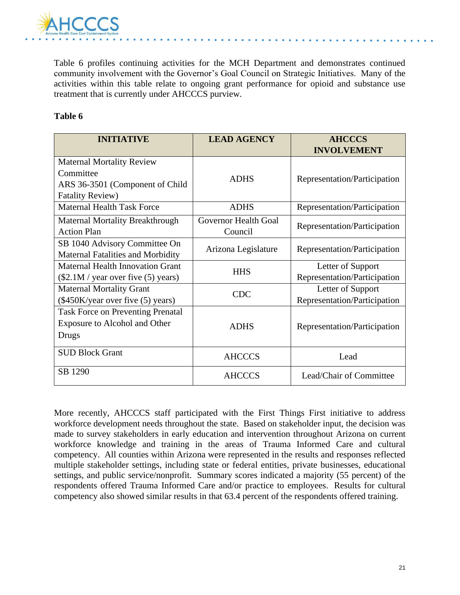

Table 6 profiles continuing activities for the MCH Department and demonstrates continued community involvement with the Governor's Goal Council on Strategic Initiatives. Many of the activities within this table relate to ongoing grant performance for opioid and substance use treatment that is currently under AHCCCS purview.

#### **Table 6**

| <b>INITIATIVE</b>                        | <b>LEAD AGENCY</b>   | <b>AHCCCS</b>                |
|------------------------------------------|----------------------|------------------------------|
|                                          |                      | <b>INVOLVEMENT</b>           |
| <b>Maternal Mortality Review</b>         |                      |                              |
| Committee                                | <b>ADHS</b>          | Representation/Participation |
| ARS 36-3501 (Component of Child          |                      |                              |
| <b>Fatality Review)</b>                  |                      |                              |
| <b>Maternal Health Task Force</b>        | <b>ADHS</b>          | Representation/Participation |
| <b>Maternal Mortality Breakthrough</b>   | Governor Health Goal |                              |
| <b>Action Plan</b>                       | Council              | Representation/Participation |
| SB 1040 Advisory Committee On            | Arizona Legislature  | Representation/Participation |
| <b>Maternal Fatalities and Morbidity</b> |                      |                              |
| <b>Maternal Health Innovation Grant</b>  | <b>HHS</b>           | Letter of Support            |
| $(\$2.1M / year$ over five $(5)$ years)  |                      | Representation/Participation |
| <b>Maternal Mortality Grant</b>          | <b>CDC</b>           | Letter of Support            |
| (\$450K/year over five (5) years)        |                      | Representation/Participation |
| <b>Task Force on Preventing Prenatal</b> |                      |                              |
| Exposure to Alcohol and Other            | <b>ADHS</b>          | Representation/Participation |
| Drugs                                    |                      |                              |
| <b>SUD Block Grant</b>                   |                      |                              |
|                                          | <b>AHCCCS</b>        | Lead                         |
| SB 1290                                  | <b>AHCCCS</b>        | Lead/Chair of Committee      |

More recently, AHCCCS staff participated with the First Things First initiative to address workforce development needs throughout the state. Based on stakeholder input, the decision was made to survey stakeholders in early education and intervention throughout Arizona on current workforce knowledge and training in the areas of Trauma Informed Care and cultural competency. All counties within Arizona were represented in the results and responses reflected multiple stakeholder settings, including state or federal entities, private businesses, educational settings, and public service/nonprofit. Summary scores indicated a majority (55 percent) of the respondents offered Trauma Informed Care and/or practice to employees. Results for cultural competency also showed similar results in that 63.4 percent of the respondents offered training.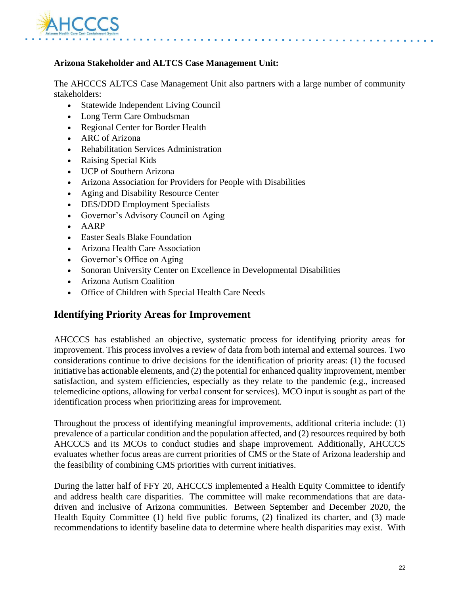

#### **Arizona Stakeholder and ALTCS Case Management Unit:**

The AHCCCS ALTCS Case Management Unit also partners with a large number of community stakeholders:

- Statewide Independent Living Council
- Long Term Care Ombudsman
- Regional Center for Border Health
- ARC of Arizona
- Rehabilitation Services Administration
- Raising Special Kids
- UCP of Southern Arizona
- Arizona Association for Providers for People with Disabilities
- Aging and Disability Resource Center
- DES/DDD Employment Specialists
- Governor's Advisory Council on Aging
- AARP
- Easter Seals Blake Foundation
- Arizona Health Care Association
- Governor's Office on Aging
- Sonoran University Center on Excellence in Developmental Disabilities
- Arizona Autism Coalition
- Office of Children with Special Health Care Needs

#### **Identifying Priority Areas for Improvement**

AHCCCS has established an objective, systematic process for identifying priority areas for improvement. This process involves a review of data from both internal and external sources. Two considerations continue to drive decisions for the identification of priority areas: (1) the focused initiative has actionable elements, and (2) the potential for enhanced quality improvement, member satisfaction, and system efficiencies, especially as they relate to the pandemic (e.g., increased telemedicine options, allowing for verbal consent for services). MCO input is sought as part of the identification process when prioritizing areas for improvement.

Throughout the process of identifying meaningful improvements, additional criteria include: (1) prevalence of a particular condition and the population affected, and (2) resources required by both AHCCCS and its MCOs to conduct studies and shape improvement. Additionally, AHCCCS evaluates whether focus areas are current priorities of CMS or the State of Arizona leadership and the feasibility of combining CMS priorities with current initiatives.

During the latter half of FFY 20, AHCCCS implemented a Health Equity Committee to identify and address health care disparities. The committee will make recommendations that are datadriven and inclusive of Arizona communities. Between September and December 2020, the Health Equity Committee (1) held five public forums, (2) finalized its charter, and (3) made recommendations to identify baseline data to determine where health disparities may exist. With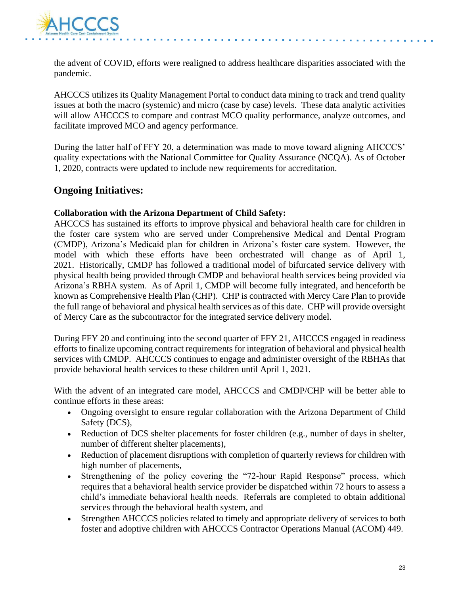

the advent of COVID, efforts were realigned to address healthcare disparities associated with the pandemic.

AHCCCS utilizes its Quality Management Portal to conduct data mining to track and trend quality issues at both the macro (systemic) and micro (case by case) levels. These data analytic activities will allow AHCCCS to compare and contrast MCO quality performance, analyze outcomes, and facilitate improved MCO and agency performance.

During the latter half of FFY 20, a determination was made to move toward aligning AHCCCS' quality expectations with the National Committee for Quality Assurance (NCQA). As of October 1, 2020, contracts were updated to include new requirements for accreditation.

#### **Ongoing Initiatives:**

#### **Collaboration with the Arizona Department of Child Safety:**

AHCCCS has sustained its efforts to improve physical and behavioral health care for children in the foster care system who are served under Comprehensive Medical and Dental Program (CMDP), Arizona's Medicaid plan for children in Arizona's foster care system. However, the model with which these efforts have been orchestrated will change as of April 1, 2021. Historically, CMDP has followed a traditional model of bifurcated service delivery with physical health being provided through CMDP and behavioral health services being provided via Arizona's RBHA system. As of April 1, CMDP will become fully integrated, and henceforth be known as Comprehensive Health Plan (CHP). CHP is contracted with Mercy Care Plan to provide the full range of behavioral and physical health services as of this date. CHP will provide oversight of Mercy Care as the subcontractor for the integrated service delivery model.

During FFY 20 and continuing into the second quarter of FFY 21, AHCCCS engaged in readiness efforts to finalize upcoming contract requirements for integration of behavioral and physical health services with CMDP. AHCCCS continues to engage and administer oversight of the RBHAs that provide behavioral health services to these children until April 1, 2021.

With the advent of an integrated care model, AHCCCS and CMDP/CHP will be better able to continue efforts in these areas:

- Ongoing oversight to ensure regular collaboration with the Arizona Department of Child Safety (DCS),
- Reduction of DCS shelter placements for foster children (e.g., number of days in shelter, number of different shelter placements),
- Reduction of placement disruptions with completion of quarterly reviews for children with high number of placements,
- Strengthening of the policy covering the "72-hour Rapid Response" process, which requires that a behavioral health service provider be dispatched within 72 hours to assess a child's immediate behavioral health needs. Referrals are completed to obtain additional services through the behavioral health system, and
- Strengthen AHCCCS policies related to timely and appropriate delivery of services to both foster and adoptive children with AHCCCS Contractor Operations Manual (ACOM) 449.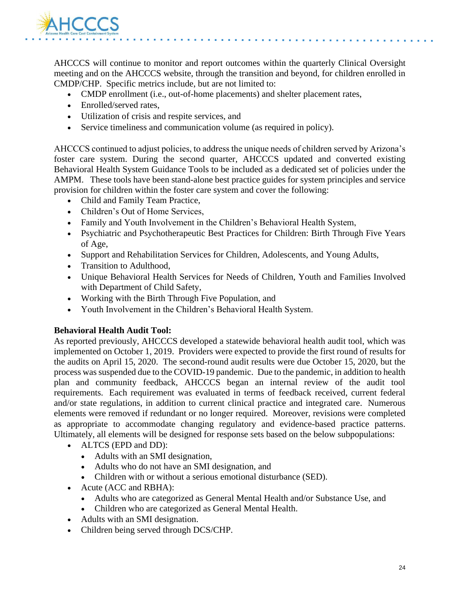

AHCCCS will continue to monitor and report outcomes within the quarterly Clinical Oversight meeting and on the AHCCCS website, through the transition and beyond, for children enrolled in CMDP/CHP. Specific metrics include, but are not limited to:

- CMDP enrollment (i.e., out-of-home placements) and shelter placement rates,
- Enrolled/served rates.
- Utilization of crisis and respite services, and
- Service timeliness and communication volume (as required in policy).

AHCCCS continued to adjust policies, to address the unique needs of children served by Arizona's foster care system. During the second quarter, AHCCCS updated and converted existing Behavioral Health System Guidance Tools to be included as a dedicated set of policies under the AMPM. These tools have been stand-alone best practice guides for system principles and service provision for children within the foster care system and cover the following:

- Child and Family Team Practice,
- Children's Out of Home Services,
- Family and Youth Involvement in the Children's Behavioral Health System,
- Psychiatric and Psychotherapeutic Best Practices for Children: Birth Through Five Years of Age,
- Support and Rehabilitation Services for Children, Adolescents, and Young Adults,
- Transition to Adulthood,
- Unique Behavioral Health Services for Needs of Children, Youth and Families Involved with Department of Child Safety,
- Working with the Birth Through Five Population, and
- Youth Involvement in the Children's Behavioral Health System.

#### **Behavioral Health Audit Tool:**

As reported previously, AHCCCS developed a statewide behavioral health audit tool, which was implemented on October 1, 2019. Providers were expected to provide the first round of results for the audits on April 15, 2020. The second-round audit results were due October 15, 2020, but the process was suspended due to the COVID-19 pandemic. Due to the pandemic, in addition to health plan and community feedback, AHCCCS began an internal review of the audit tool requirements. Each requirement was evaluated in terms of feedback received, current federal and/or state regulations, in addition to current clinical practice and integrated care. Numerous elements were removed if redundant or no longer required. Moreover, revisions were completed as appropriate to accommodate changing regulatory and evidence-based practice patterns. Ultimately, all elements will be designed for response sets based on the below subpopulations:

- ALTCS (EPD and DD):
	- Adults with an SMI designation,
	- Adults who do not have an SMI designation, and
	- Children with or without a serious emotional disturbance (SED).
- Acute (ACC and RBHA):
	- Adults who are categorized as General Mental Health and/or Substance Use, and
	- Children who are categorized as General Mental Health.
- Adults with an SMI designation.
- Children being served through DCS/CHP.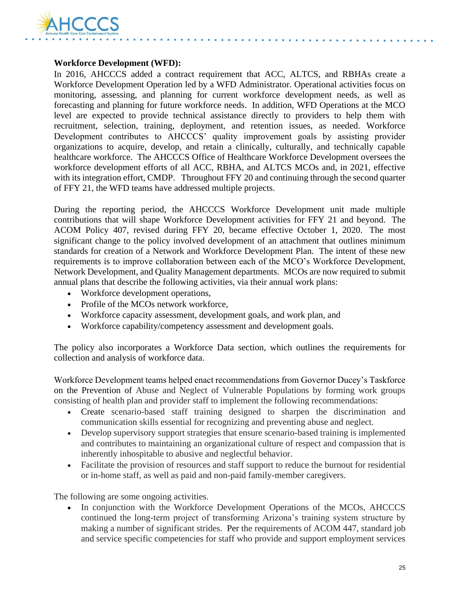

#### **Workforce Development (WFD):**

In 2016, AHCCCS added a contract requirement that ACC, ALTCS, and RBHAs create a Workforce Development Operation led by a WFD Administrator. Operational activities focus on monitoring, assessing, and planning for current workforce development needs, as well as forecasting and planning for future workforce needs. In addition, WFD Operations at the MCO level are expected to provide technical assistance directly to providers to help them with recruitment, selection, training, deployment, and retention issues, as needed. Workforce Development contributes to AHCCCS' quality improvement goals by assisting provider organizations to acquire, develop, and retain a clinically, culturally, and technically capable healthcare workforce. The AHCCCS Office of Healthcare Workforce Development oversees the workforce development efforts of all ACC, RBHA, and ALTCS MCOs and, in 2021, effective with its integration effort, CMDP. Throughout FFY 20 and continuing through the second quarter of FFY 21, the WFD teams have addressed multiple projects.

During the reporting period, the AHCCCS Workforce Development unit made multiple contributions that will shape Workforce Development activities for FFY 21 and beyond. The ACOM Policy 407, revised during FFY 20, became effective October 1, 2020. The most significant change to the policy involved development of an attachment that outlines minimum standards for creation of a Network and Workforce Development Plan. The intent of these new requirements is to improve collaboration between each of the MCO's Workforce Development, Network Development, and Quality Management departments. MCOs are now required to submit annual plans that describe the following activities, via their annual work plans:

- Workforce development operations,
- Profile of the MCOs network workforce.
- Workforce capacity assessment, development goals, and work plan, and
- Workforce capability/competency assessment and development goals.

The policy also incorporates a Workforce Data section, which outlines the requirements for collection and analysis of workforce data.

Workforce Development teams helped enact recommendations from Governor Ducey's Taskforce on the Prevention of Abuse and Neglect of Vulnerable Populations by forming work groups consisting of health plan and provider staff to implement the following recommendations:

- Create scenario-based staff training designed to sharpen the discrimination and communication skills essential for recognizing and preventing abuse and neglect.
- Develop supervisory support strategies that ensure scenario-based training is implemented and contributes to maintaining an organizational culture of respect and compassion that is inherently inhospitable to abusive and neglectful behavior.
- Facilitate the provision of resources and staff support to reduce the burnout for residential or in-home staff, as well as paid and non-paid family-member caregivers.

The following are some ongoing activities.

• In conjunction with the Workforce Development Operations of the MCOs, AHCCCS continued the long-term project of transforming Arizona's training system structure by making a number of significant strides. Per the requirements of ACOM 447, standard job and service specific competencies for staff who provide and support employment services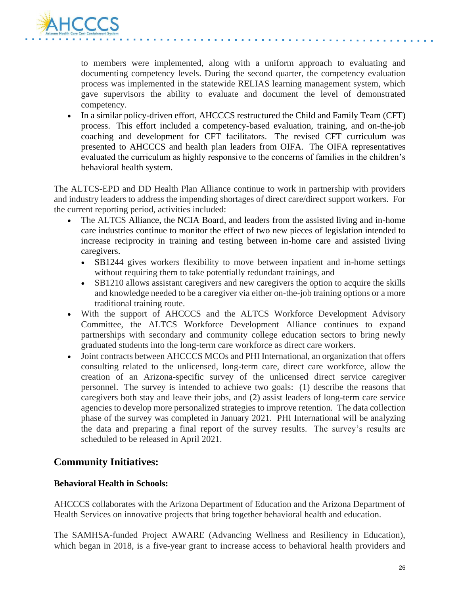

to members were implemented, along with a uniform approach to evaluating and documenting competency levels. During the second quarter, the competency evaluation process was implemented in the statewide RELIAS learning management system, which gave supervisors the ability to evaluate and document the level of demonstrated competency.

• In a similar policy-driven effort, AHCCCS restructured the Child and Family Team (CFT) process. This effort included a competency-based evaluation, training, and on-the-job coaching and development for CFT facilitators. The revised CFT curriculum was presented to AHCCCS and health plan leaders from OIFA. The OIFA representatives evaluated the curriculum as highly responsive to the concerns of families in the children's behavioral health system.

The ALTCS-EPD and DD Health Plan Alliance continue to work in partnership with providers and industry leaders to address the impending shortages of direct care/direct support workers. For the current reporting period, activities included:

- The ALTCS Alliance, the NCIA Board, and leaders from the assisted living and in-home care industries continue to monitor the effect of two new pieces of legislation intended to increase reciprocity in training and testing between in-home care and assisted living caregivers.
	- SB1244 gives workers flexibility to move between inpatient and in-home settings without requiring them to take potentially redundant trainings, and
	- SB1210 allows assistant caregivers and new caregivers the option to acquire the skills and knowledge needed to be a caregiver via either on-the-job training options or a more traditional training route.
- With the support of AHCCCS and the ALTCS Workforce Development Advisory Committee, the ALTCS Workforce Development Alliance continues to expand partnerships with secondary and community college education sectors to bring newly graduated students into the long-term care workforce as direct care workers.
- Joint contracts between AHCCCS MCOs and PHI International, an organization that offers consulting related to the unlicensed, long-term care, direct care workforce, allow the creation of an Arizona-specific survey of the unlicensed direct service caregiver personnel. The survey is intended to achieve two goals: (1) describe the reasons that caregivers both stay and leave their jobs, and (2) assist leaders of long-term care service agencies to develop more personalized strategies to improve retention. The data collection phase of the survey was completed in January 2021. PHI International will be analyzing the data and preparing a final report of the survey results. The survey's results are scheduled to be released in April 2021.

### **Community Initiatives:**

#### **Behavioral Health in Schools:**

AHCCCS collaborates with the Arizona Department of Education and the Arizona Department of Health Services on innovative projects that bring together behavioral health and education.

The SAMHSA-funded Project AWARE (Advancing Wellness and Resiliency in Education), which began in 2018, is a five-year grant to increase access to behavioral health providers and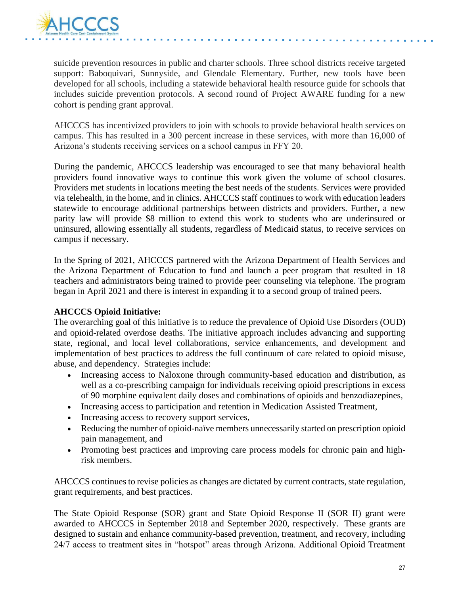

suicide prevention resources in public and charter schools. Three school districts receive targeted support: Baboquivari, Sunnyside, and Glendale Elementary. Further, new tools have been developed for all schools, including a statewide behavioral health resource guide for schools that includes suicide prevention protocols. A second round of Project AWARE funding for a new cohort is pending grant approval.

AHCCCS has incentivized providers to join with schools to provide behavioral health services on campus. This has resulted in a 300 percent increase in these services, with more than 16,000 of Arizona's students receiving services on a school campus in FFY 20.

During the pandemic, AHCCCS leadership was encouraged to see that many behavioral health providers found innovative ways to continue this work given the volume of school closures. Providers met students in locations meeting the best needs of the students. Services were provided via telehealth, in the home, and in clinics. AHCCCS staff continues to work with education leaders statewide to encourage additional partnerships between districts and providers. Further, a new parity law will provide \$8 million to extend this work to students who are underinsured or uninsured, allowing essentially all students, regardless of Medicaid status, to receive services on campus if necessary.

In the Spring of 2021, AHCCCS partnered with the Arizona Department of Health Services and the Arizona Department of Education to fund and launch a peer program that resulted in 18 teachers and administrators being trained to provide peer counseling via telephone. The program began in April 2021 and there is interest in expanding it to a second group of trained peers.

#### **AHCCCS Opioid Initiative:**

The overarching goal of this initiative is to reduce the prevalence of Opioid Use Disorders (OUD) and opioid-related overdose deaths. The initiative approach includes advancing and supporting state, regional, and local level collaborations, service enhancements, and development and implementation of best practices to address the full continuum of care related to opioid misuse, abuse, and dependency. Strategies include:

- Increasing access to Naloxone through community-based education and distribution, as well as a co-prescribing campaign for individuals receiving opioid prescriptions in excess of 90 morphine equivalent daily doses and combinations of opioids and benzodiazepines,
- Increasing access to participation and retention in Medication Assisted Treatment,
- Increasing access to recovery support services,
- Reducing the number of opioid-naïve members unnecessarily started on prescription opioid pain management, and
- Promoting best practices and improving care process models for chronic pain and highrisk members.

AHCCCS continues to revise policies as changes are dictated by current contracts, state regulation, grant requirements, and best practices.

The State Opioid Response (SOR) grant and State Opioid Response II (SOR II) grant were awarded to AHCCCS in September 2018 and September 2020, respectively. These grants are designed to sustain and enhance community-based prevention, treatment, and recovery, including 24/7 access to treatment sites in "hotspot" areas through Arizona. Additional Opioid Treatment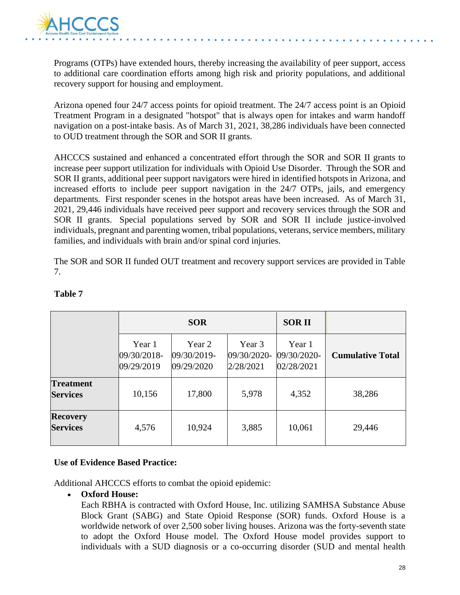

Programs (OTPs) have extended hours, thereby increasing the availability of peer support, access to additional care coordination efforts among high risk and priority populations, and additional recovery support for housing and employment.

Arizona opened four 24/7 access points for opioid treatment. The 24/7 access point is an Opioid Treatment Program in a designated "hotspot" that is always open for intakes and warm handoff navigation on a post-intake basis. As of March 31, 2021, 38,286 individuals have been connected to OUD treatment through the SOR and SOR II grants.

AHCCCS sustained and enhanced a concentrated effort through the SOR and SOR II grants to increase peer support utilization for individuals with Opioid Use Disorder. Through the SOR and SOR II grants, additional peer support navigators were hired in identified hotspots in Arizona, and increased efforts to include peer support navigation in the 24/7 OTPs, jails, and emergency departments. First responder scenes in the hotspot areas have been increased. As of March 31, 2021, 29,446 individuals have received peer support and recovery services through the SOR and SOR II grants. Special populations served by SOR and SOR II include justice-involved individuals, pregnant and parenting women, tribal populations, veterans, service members, military families, and individuals with brain and/or spinal cord injuries.

The SOR and SOR II funded OUT treatment and recovery support services are provided in Table 7.

|                                     |                                     | <b>SOR</b>                          |                                    | <b>SORII</b>                        |                         |
|-------------------------------------|-------------------------------------|-------------------------------------|------------------------------------|-------------------------------------|-------------------------|
|                                     | Year 1<br>09/30/2018-<br>09/29/2019 | Year 2<br>09/30/2019-<br>09/29/2020 | Year 3<br>09/30/2020-<br>2/28/2021 | Year 1<br>09/30/2020-<br>02/28/2021 | <b>Cumulative Total</b> |
| <b>Treatment</b><br><b>Services</b> | 10,156                              | 17,800                              | 5,978                              | 4,352                               | 38,286                  |
| <b>Recovery</b><br><b>Services</b>  | 4,576                               | 10,924                              | 3,885                              | 10,061                              | 29,446                  |

#### **Table 7**

#### **Use of Evidence Based Practice:**

Additional AHCCCS efforts to combat the opioid epidemic:

#### • **Oxford House:**

Each RBHA is contracted with Oxford House, Inc. utilizing SAMHSA Substance Abuse Block Grant (SABG) and State Opioid Response (SOR) funds. Oxford House is a worldwide network of over 2,500 sober living houses. Arizona was the forty-seventh state to adopt the Oxford House model. The Oxford House model provides support to individuals with a SUD diagnosis or a co-occurring disorder (SUD and mental health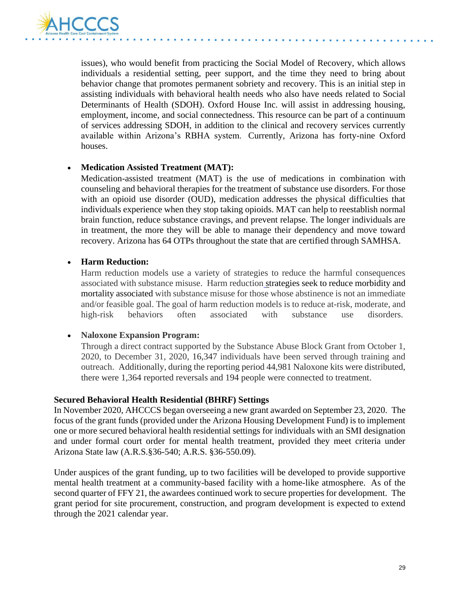

issues), who would benefit from practicing the Social Model of Recovery, which allows individuals a residential setting, peer support, and the time they need to bring about behavior change that promotes permanent sobriety and recovery. This is an initial step in assisting individuals with behavioral health needs who also have needs related to Social Determinants of Health (SDOH). Oxford House Inc. will assist in addressing housing, employment, income, and social connectedness. This resource can be part of a continuum of services addressing SDOH, in addition to the clinical and recovery services currently available within Arizona's RBHA system. Currently, Arizona has forty-nine Oxford houses.

#### • **Medication Assisted Treatment (MAT):**

Medication-assisted treatment (MAT) is the use of medications in combination with counseling and behavioral therapies for the treatment of substance use disorders. For those with an opioid use disorder (OUD), medication addresses the physical difficulties that individuals experience when they stop taking opioids. MAT can help to reestablish normal brain function, reduce substance cravings, and prevent relapse. The longer individuals are in treatment, the more they will be able to manage their dependency and move toward recovery. Arizona has 64 OTPs throughout the state that are certified through SAMHSA.

#### • **Harm Reduction:**

Harm reduction models use a variety of strategies to reduce the harmful consequences associated with substance misuse. Harm reduction [st](https://www.ncbi.nlm.nih.gov/pmc/articles/PMC2528824/)rategies seek to reduce morbidity and mortality associated with substance misuse for those whose abstinence is not an immediate and/or feasible goal. The goal of harm reduction models is to reduce at-risk, moderate, and high-risk behaviors often associated with substance use disorders.

#### • **Naloxone Expansion Program:**

Through a direct contract supported by the Substance Abuse Block Grant from October 1, 2020, to December 31, 2020, 16,347 individuals have been served through training and outreach. Additionally, during the reporting period 44,981 Naloxone kits were distributed, there were 1,364 reported reversals and 194 people were connected to treatment.

#### **Secured Behavioral Health Residential (BHRF) Settings**

In November 2020, AHCCCS began overseeing a new grant awarded on September 23, 2020. The focus of the grant funds (provided under the Arizona Housing Development Fund) is to implement one or more secured behavioral health residential settings for individuals with an SMI designation and under formal court order for mental health treatment, provided they meet criteria under Arizona State law (A.R.S.§36-540; A.R.S. §36-550.09).

Under auspices of the grant funding, up to two facilities will be developed to provide supportive mental health treatment at a community-based facility with a home-like atmosphere. As of the second quarter of FFY 21, the awardees continued work to secure properties for development. The grant period for site procurement, construction, and program development is expected to extend through the 2021 calendar year.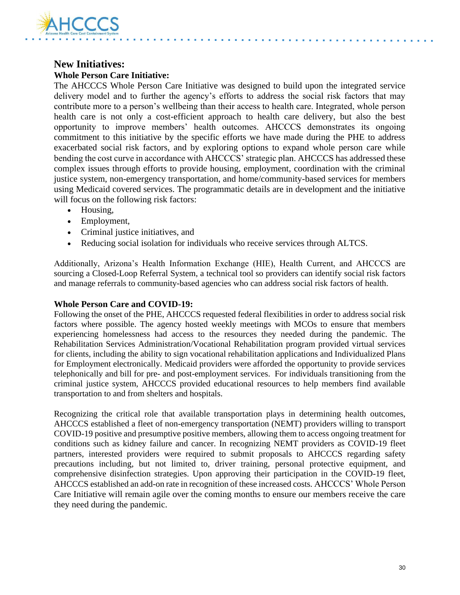

### **New Initiatives: Whole Person Care Initiative:**

The AHCCCS Whole Person Care Initiative was designed to build upon the integrated service delivery model and to further the agency's efforts to address the social risk factors that may contribute more to a person's wellbeing than their access to health care. Integrated, whole person health care is not only a cost-efficient approach to health care delivery, but also the best opportunity to improve members' health outcomes. AHCCCS demonstrates its ongoing commitment to this initiative by the specific efforts we have made during the PHE to address exacerbated social risk factors, and by exploring options to expand whole person care while bending the cost curve in accordance with AHCCCS' strategic plan. AHCCCS has addressed these complex issues through efforts to provide housing, employment, coordination with the criminal justice system, non-emergency transportation, and home/community-based services for members using Medicaid covered services. The programmatic details are in development and the initiative will focus on the following risk factors:

- Housing,
- Employment,
- Criminal justice initiatives, and
- Reducing social isolation for individuals who receive services through ALTCS.

Additionally, Arizona's Health Information Exchange (HIE), Health Current, and AHCCCS are sourcing a Closed-Loop Referral System, a technical tool so providers can identify social risk factors and manage referrals to community-based agencies who can address social risk factors of health.

#### **Whole Person Care and COVID-19:**

Following the onset of the PHE, AHCCCS requested federal flexibilities in order to address social risk factors where possible. The agency hosted weekly meetings with MCOs to ensure that members experiencing homelessness had access to the resources they needed during the pandemic. The Rehabilitation Services Administration/Vocational Rehabilitation program provided virtual services for clients, including the ability to sign vocational rehabilitation applications and Individualized Plans for Employment electronically. Medicaid providers were afforded the opportunity to provide services telephonically and bill for pre- and post-employment services. For individuals transitioning from the criminal justice system, AHCCCS provided educational resources to help members find available transportation to and from shelters and hospitals.

Recognizing the critical role that available transportation plays in determining health outcomes, AHCCCS established a fleet of non-emergency transportation (NEMT) providers willing to transport COVID-19 positive and presumptive positive members, allowing them to access ongoing treatment for conditions such as kidney failure and cancer. In recognizing NEMT providers as COVID-19 fleet partners, interested providers were required to submit proposals to AHCCCS regarding safety precautions including, but not limited to, driver training, personal protective equipment, and comprehensive disinfection strategies. Upon approving their participation in the COVID-19 fleet, AHCCCS established an add-on rate in recognition of these increased costs. AHCCCS' Whole Person Care Initiative will remain agile over the coming months to ensure our members receive the care they need during the pandemic.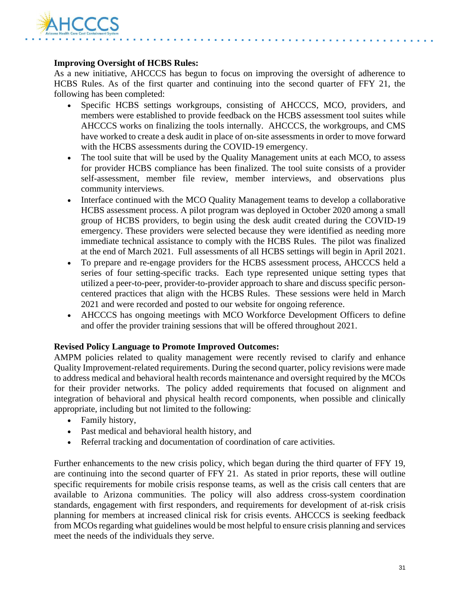

#### **Improving Oversight of HCBS Rules:**

As a new initiative, AHCCCS has begun to focus on improving the oversight of adherence to HCBS Rules. As of the first quarter and continuing into the second quarter of FFY 21, the following has been completed:

- Specific HCBS settings workgroups, consisting of AHCCCS, MCO, providers, and members were established to provide feedback on the HCBS assessment tool suites while AHCCCS works on finalizing the tools internally. AHCCCS, the workgroups, and CMS have worked to create a desk audit in place of on-site assessments in order to move forward with the HCBS assessments during the COVID-19 emergency.
- The tool suite that will be used by the Quality Management units at each MCO, to assess for provider HCBS compliance has been finalized. The tool suite consists of a provider self-assessment, member file review, member interviews, and observations plus community interviews.
- Interface continued with the MCO Quality Management teams to develop a collaborative HCBS assessment process. A pilot program was deployed in October 2020 among a small group of HCBS providers, to begin using the desk audit created during the COVID-19 emergency. These providers were selected because they were identified as needing more immediate technical assistance to comply with the HCBS Rules. The pilot was finalized at the end of March 2021. Full assessments of all HCBS settings will begin in April 2021.
- To prepare and re-engage providers for the HCBS assessment process, AHCCCS held a series of four setting-specific tracks. Each type represented unique setting types that utilized a peer-to-peer, provider-to-provider approach to share and discuss specific personcentered practices that align with the HCBS Rules. These sessions were held in March 2021 and were recorded and posted to our website for ongoing reference.
- AHCCCS has ongoing meetings with MCO Workforce Development Officers to define and offer the provider training sessions that will be offered throughout 2021.

#### **Revised Policy Language to Promote Improved Outcomes:**

AMPM policies related to quality management were recently revised to clarify and enhance Quality Improvement-related requirements. During the second quarter, policy revisions were made to address medical and behavioral health records maintenance and oversight required by the MCOs for their provider networks. The policy added requirements that focused on alignment and integration of behavioral and physical health record components, when possible and clinically appropriate, including but not limited to the following:

- Family history,
- Past medical and behavioral health history, and
- Referral tracking and documentation of coordination of care activities.

Further enhancements to the new crisis policy, which began during the third quarter of FFY 19, are continuing into the second quarter of FFY 21. As stated in prior reports, these will outline specific requirements for mobile crisis response teams, as well as the crisis call centers that are available to Arizona communities. The policy will also address cross-system coordination standards, engagement with first responders, and requirements for development of at-risk crisis planning for members at increased clinical risk for crisis events. AHCCCS is seeking feedback from MCOs regarding what guidelines would be most helpful to ensure crisis planning and services meet the needs of the individuals they serve.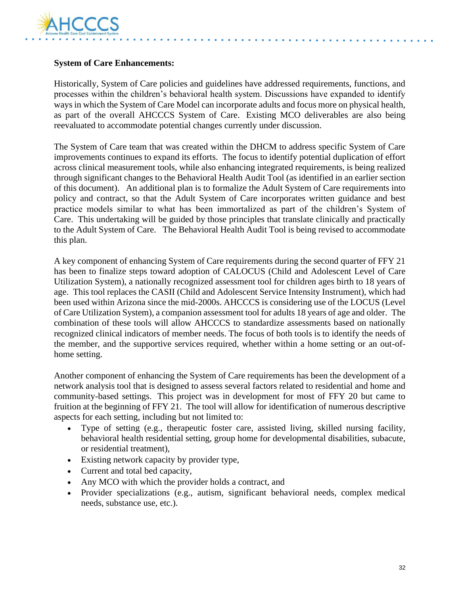

#### **System of Care Enhancements:**

Historically, System of Care policies and guidelines have addressed requirements, functions, and processes within the children's behavioral health system. Discussions have expanded to identify ways in which the System of Care Model can incorporate adults and focus more on physical health, as part of the overall AHCCCS System of Care. Existing MCO deliverables are also being reevaluated to accommodate potential changes currently under discussion.

The System of Care team that was created within the DHCM to address specific System of Care improvements continues to expand its efforts. The focus to identify potential duplication of effort across clinical measurement tools, while also enhancing integrated requirements, is being realized through significant changes to the Behavioral Health Audit Tool (as identified in an earlier section of this document). An additional plan is to formalize the Adult System of Care requirements into policy and contract, so that the Adult System of Care incorporates written guidance and best practice models similar to what has been immortalized as part of the children's System of Care. This undertaking will be guided by those principles that translate clinically and practically to the Adult System of Care. The Behavioral Health Audit Tool is being revised to accommodate this plan.

A key component of enhancing System of Care requirements during the second quarter of FFY 21 has been to finalize steps toward adoption of CALOCUS (Child and Adolescent Level of Care Utilization System), a nationally recognized assessment tool for children ages birth to 18 years of age. This tool replaces the CASII (Child and Adolescent Service Intensity Instrument), which had been used within Arizona since the mid-2000s. AHCCCS is considering use of the LOCUS (Level of Care Utilization System), a companion assessment tool for adults 18 years of age and older. The combination of these tools will allow AHCCCS to standardize assessments based on nationally recognized clinical indicators of member needs. The focus of both tools is to identify the needs of the member, and the supportive services required, whether within a home setting or an out-ofhome setting.

Another component of enhancing the System of Care requirements has been the development of a network analysis tool that is designed to assess several factors related to residential and home and community-based settings. This project was in development for most of FFY 20 but came to fruition at the beginning of FFY 21. The tool will allow for identification of numerous descriptive aspects for each setting, including but not limited to:

- Type of setting (e.g., therapeutic foster care, assisted living, skilled nursing facility, behavioral health residential setting, group home for developmental disabilities, subacute, or residential treatment),
- Existing network capacity by provider type,
- Current and total bed capacity,
- Any MCO with which the provider holds a contract, and
- Provider specializations (e.g., autism, significant behavioral needs, complex medical needs, substance use, etc.).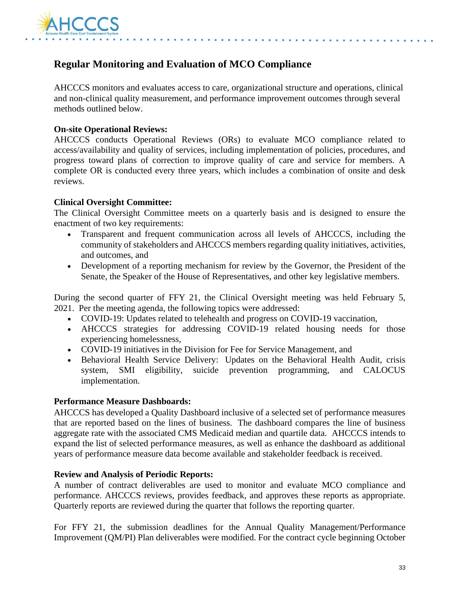

### **Regular Monitoring and Evaluation of MCO Compliance**

AHCCCS monitors and evaluates access to care, organizational structure and operations, clinical and non-clinical quality measurement, and performance improvement outcomes through several methods outlined below.

#### **On-site Operational Reviews:**

AHCCCS conducts Operational Reviews (ORs) to evaluate MCO compliance related to access/availability and quality of services, including implementation of policies, procedures, and progress toward plans of correction to improve quality of care and service for members. A complete OR is conducted every three years, which includes a combination of onsite and desk reviews.

#### **Clinical Oversight Committee:**

The Clinical Oversight Committee meets on a quarterly basis and is designed to ensure the enactment of two key requirements:

- Transparent and frequent communication across all levels of AHCCCS, including the community of stakeholders and AHCCCS members regarding quality initiatives, activities, and outcomes, and
- Development of a reporting mechanism for review by the Governor, the President of the Senate, the Speaker of the House of Representatives, and other key legislative members.

During the second quarter of FFY 21, the Clinical Oversight meeting was held February 5, 2021. Per the meeting agenda, the following topics were addressed:

- COVID-19: Updates related to telehealth and progress on COVID-19 vaccination,
- AHCCCS strategies for addressing COVID-19 related housing needs for those experiencing homelessness,
- COVID-19 initiatives in the Division for Fee for Service Management, and
- Behavioral Health Service Delivery: Updates on the Behavioral Health Audit, crisis system, SMI eligibility, suicide prevention programming, and CALOCUS implementation.

#### **Performance Measure Dashboards:**

AHCCCS has developed a Quality Dashboard inclusive of a selected set of performance measures that are reported based on the lines of business. The dashboard compares the line of business aggregate rate with the associated CMS Medicaid median and quartile data. AHCCCS intends to expand the list of selected performance measures, as well as enhance the dashboard as additional years of performance measure data become available and stakeholder feedback is received.

#### **Review and Analysis of Periodic Reports:**

A number of contract deliverables are used to monitor and evaluate MCO compliance and performance. AHCCCS reviews, provides feedback, and approves these reports as appropriate. Quarterly reports are reviewed during the quarter that follows the reporting quarter.

For FFY 21, the submission deadlines for the Annual Quality Management/Performance Improvement (QM/PI) Plan deliverables were modified. For the contract cycle beginning October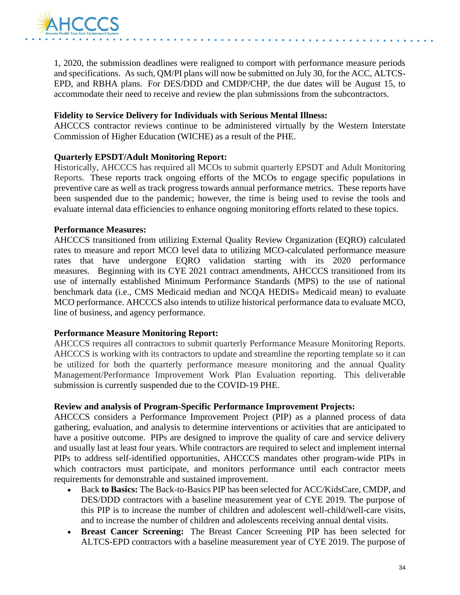

1, 2020, the submission deadlines were realigned to comport with performance measure periods and specifications. As such, QM/PI plans will now be submitted on July 30, for the ACC, ALTCS-EPD, and RBHA plans. For DES/DDD and CMDP/CHP, the due dates will be August 15, to accommodate their need to receive and review the plan submissions from the subcontractors.

#### **Fidelity to Service Delivery for Individuals with Serious Mental Illness:**

AHCCCS contractor reviews continue to be administered virtually by the Western Interstate Commission of Higher Education (WICHE) as a result of the PHE.

#### **Quarterly EPSDT/Adult Monitoring Report:**

Historically, AHCCCS has required all MCOs to submit quarterly EPSDT and Adult Monitoring Reports. These reports track ongoing efforts of the MCOs to engage specific populations in preventive care as well as track progress towards annual performance metrics. These reports have been suspended due to the pandemic; however, the time is being used to revise the tools and evaluate internal data efficiencies to enhance ongoing monitoring efforts related to these topics.

#### **Performance Measures:**

AHCCCS transitioned from utilizing External Quality Review Organization (EQRO) calculated rates to measure and report MCO level data to utilizing MCO-calculated performance measure rates that have undergone EQRO validation starting with its 2020 performance measures. Beginning with its CYE 2021 contract amendments, AHCCCS transitioned from its use of internally established Minimum Performance Standards (MPS) to the use of national benchmark data (i.e., CMS Medicaid median and NCQA HEDIS® Medicaid mean) to evaluate MCO performance. AHCCCS also intends to utilize historical performance data to evaluate MCO, line of business, and agency performance.

#### **Performance Measure Monitoring Report:**

AHCCCS requires all contractors to submit quarterly Performance Measure Monitoring Reports. AHCCCS is working with its contractors to update and streamline the reporting template so it can be utilized for both the quarterly performance measure monitoring and the annual Quality Management/Performance Improvement Work Plan Evaluation reporting. This deliverable submission is currently suspended due to the COVID-19 PHE.

#### **Review and analysis of Program-Specific Performance Improvement Projects:**

AHCCCS considers a Performance Improvement Project (PIP) as a planned process of data gathering, evaluation, and analysis to determine interventions or activities that are anticipated to have a positive outcome. PIPs are designed to improve the quality of care and service delivery and usually last at least four years. While contractors are required to select and implement internal PIPs to address self-identified opportunities, AHCCCS mandates other program-wide PIPs in which contractors must participate, and monitors performance until each contractor meets requirements for demonstrable and sustained improvement.

- Back **to Basics:** The Back-to-Basics PIP has been selected for ACC/KidsCare, CMDP, and DES/DDD contractors with a baseline measurement year of CYE 2019. The purpose of this PIP is to increase the number of children and adolescent well-child/well-care visits, and to increase the number of children and adolescents receiving annual dental visits.
- **Breast Cancer Screening:** The Breast Cancer Screening PIP has been selected for ALTCS-EPD contractors with a baseline measurement year of CYE 2019. The purpose of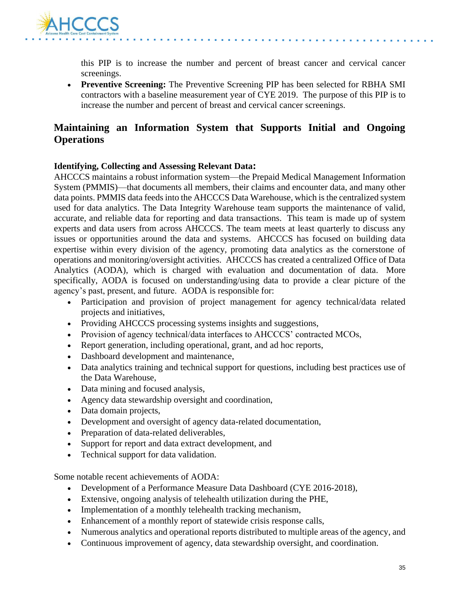

this PIP is to increase the number and percent of breast cancer and cervical cancer screenings.

• **Preventive Screening:** The Preventive Screening PIP has been selected for RBHA SMI contractors with a baseline measurement year of CYE 2019. The purpose of this PIP is to increase the number and percent of breast and cervical cancer screenings.

### **Maintaining an Information System that Supports Initial and Ongoing Operations**

#### **Identifying, Collecting and Assessing Relevant Data:**

AHCCCS maintains a robust information system—the Prepaid Medical Management Information System (PMMIS)—that documents all members, their claims and encounter data, and many other data points. PMMIS data feeds into the AHCCCS Data Warehouse, which is the centralized system used for data analytics. The Data Integrity Warehouse team supports the maintenance of valid, accurate, and reliable data for reporting and data transactions. This team is made up of system experts and data users from across AHCCCS. The team meets at least quarterly to discuss any issues or opportunities around the data and systems. AHCCCS has focused on building data expertise within every division of the agency, promoting data analytics as the cornerstone of operations and monitoring/oversight activities. AHCCCS has created a centralized Office of Data Analytics (AODA), which is charged with evaluation and documentation of data. More specifically, AODA is focused on understanding/using data to provide a clear picture of the agency's past, present, and future. AODA is responsible for:

- Participation and provision of project management for agency technical/data related projects and initiatives,
- Providing AHCCCS processing systems insights and suggestions,
- Provision of agency technical/data interfaces to AHCCCS' contracted MCOs,
- Report generation, including operational, grant, and ad hoc reports,
- Dashboard development and maintenance,
- Data analytics training and technical support for questions, including best practices use of the Data Warehouse,
- Data mining and focused analysis,
- Agency data stewardship oversight and coordination,
- Data domain projects,
- Development and oversight of agency data-related documentation,
- Preparation of data-related deliverables,
- Support for report and data extract development, and
- Technical support for data validation.

Some notable recent achievements of AODA:

- Development of a Performance Measure Data Dashboard (CYE 2016-2018),
- Extensive, ongoing analysis of telehealth utilization during the PHE,
- Implementation of a monthly telehealth tracking mechanism,
- Enhancement of a monthly report of statewide crisis response calls,
- Numerous analytics and operational reports distributed to multiple areas of the agency, and
- Continuous improvement of agency, data stewardship oversight, and coordination.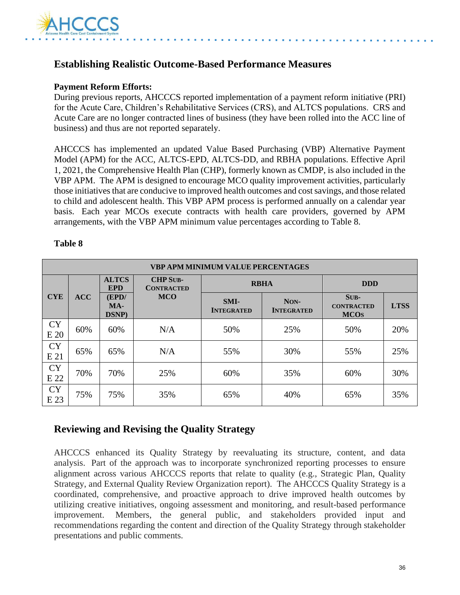

### **Establishing Realistic Outcome-Based Performance Measures**

#### **Payment Reform Efforts:**

During previous reports, AHCCCS reported implementation of a payment reform initiative (PRI) for the Acute Care, Children's Rehabilitative Services (CRS), and ALTCS populations. CRS and Acute Care are no longer contracted lines of business (they have been rolled into the ACC line of business) and thus are not reported separately.

AHCCCS has implemented an updated Value Based Purchasing (VBP) Alternative Payment Model (APM) for the ACC, ALTCS-EPD, ALTCS-DD, and RBHA populations. Effective April 1, 2021, the Comprehensive Health Plan (CHP), formerly known as CMDP, is also included in the VBP APM. The APM is designed to encourage MCO quality improvement activities, particularly those initiatives that are conducive to improved health outcomes and cost savings, and those related to child and adolescent health. This VBP APM process is performed annually on a calendar year basis. Each year MCOs execute contracts with health care providers, governed by APM arrangements, with the VBP APM minimum value percentages according to Table 8.

#### **Table 8**

| <b>VBP APM MINIMUM VALUE PERCENTAGES</b> |            |                            |                                                     |                           |                           |                                            |             |
|------------------------------------------|------------|----------------------------|-----------------------------------------------------|---------------------------|---------------------------|--------------------------------------------|-------------|
|                                          |            | <b>ALTCS</b><br><b>EPD</b> | <b>CHP SUB-</b><br><b>RBHA</b><br><b>CONTRACTED</b> |                           | <b>DDD</b>                |                                            |             |
| <b>CYE</b>                               | <b>ACC</b> | (EPD/<br>$MA-$<br>DSNP)    | <b>MCO</b>                                          | SMI-<br><b>INTEGRATED</b> | NON-<br><b>INTEGRATED</b> | $SUB-$<br><b>CONTRACTED</b><br><b>MCOS</b> | <b>LTSS</b> |
| <b>CY</b><br>E 20                        | 60%        | 60%                        | N/A                                                 | 50%                       | 25%                       | 50%                                        | 20%         |
| <b>CY</b><br>E21                         | 65%        | 65%                        | N/A                                                 | 55%                       | 30%                       | 55%                                        | 25%         |
| <b>CY</b><br>E 22                        | 70%        | 70%                        | 25%                                                 | 60%                       | 35%                       | 60%                                        | 30%         |
| <b>CY</b><br>E 23                        | 75%        | 75%                        | 35%                                                 | 65%                       | 40%                       | 65%                                        | 35%         |

#### **Reviewing and Revising the Quality Strategy**

AHCCCS enhanced its Quality Strategy by reevaluating its structure, content, and data analysis. Part of the approach was to incorporate synchronized reporting processes to ensure alignment across various AHCCCS reports that relate to quality (e.g., Strategic Plan, Quality Strategy, and External Quality Review Organization report). The AHCCCS Quality Strategy is a coordinated, comprehensive, and proactive approach to drive improved health outcomes by utilizing creative initiatives, ongoing assessment and monitoring, and result-based performance improvement. Members, the general public, and stakeholders provided input and recommendations regarding the content and direction of the Quality Strategy through stakeholder presentations and public comments.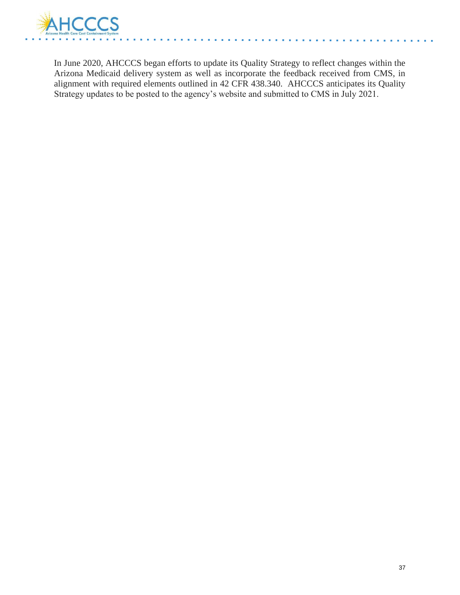

In June 2020, AHCCCS began efforts to update its Quality Strategy to reflect changes within the Arizona Medicaid delivery system as well as incorporate the feedback received from CMS, in alignment with required elements outlined in 42 CFR 438.340. AHCCCS anticipates its Quality Strategy updates to be posted to the agency's website and submitted to CMS in July 2021.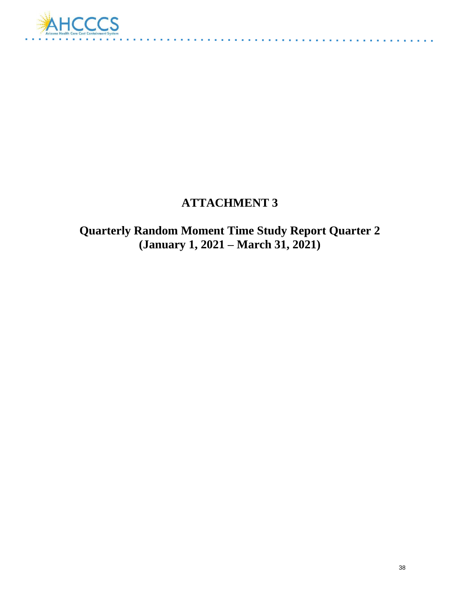

## **ATTACHMENT 3**

 $\mathbf{r}^{\prime} = \mathbf{r}^{\prime} + \mathbf{r}^{\prime} + \mathbf{r}^{\prime} + \mathbf{r}^{\prime}$ 

**Quarterly Random Moment Time Study Report Quarter 2 (January 1, 2021 – March 31, 2021)**